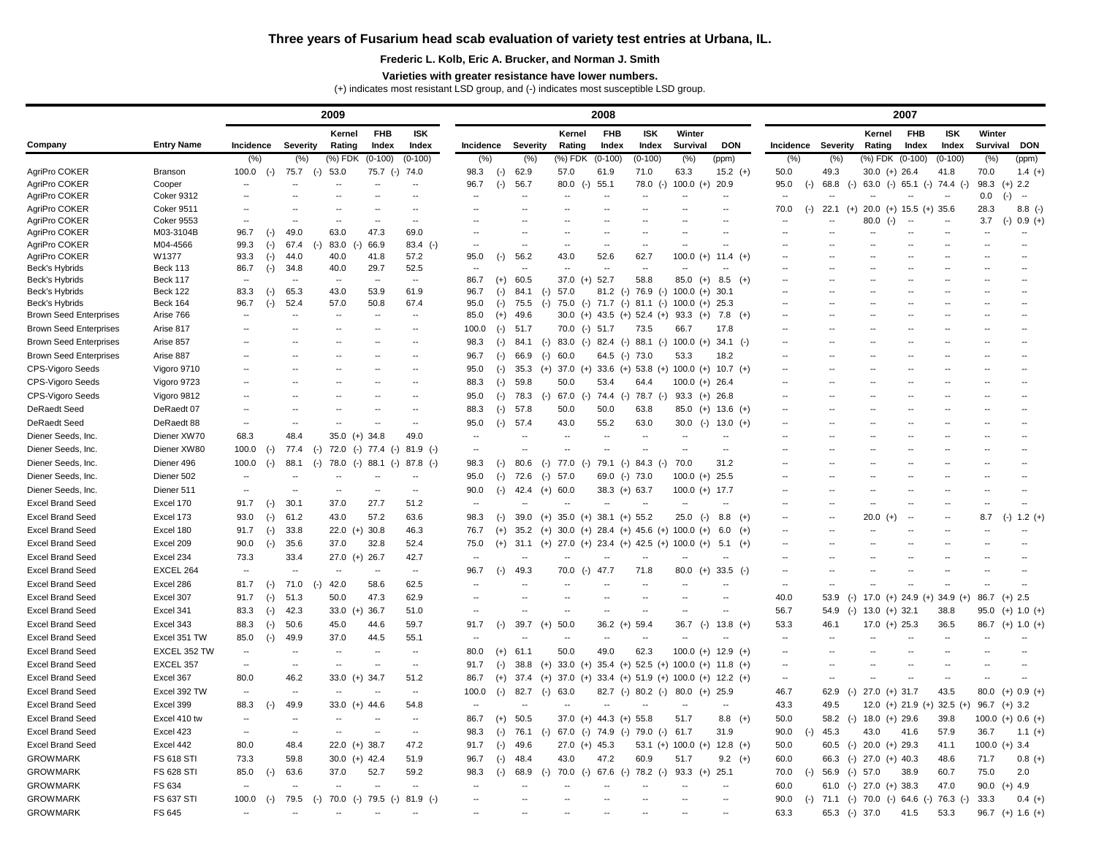## **Three years of Fusarium head scab evaluation of variety test entries at Urbana, IL.**

## **Frederic L. Kolb, Eric A. Brucker, and Norman J. Smith**

## **Varieties with greater resistance have lower numbers.**

(+) indicates most resistant LSD group, and (-) indicates most susceptible LSD group.

| <b>FHB</b><br><b>ISK</b><br>Winter<br><b>FHB</b><br>Winter<br>Kernel<br><b>FHB</b><br><b>ISK</b><br><b>ISK</b><br>Kernel<br>Kernel<br><b>Entry Name</b><br>Company<br><b>DON</b><br><b>Survival</b><br><b>DON</b><br><b>Incidence</b><br><b>Severity</b><br>Rating<br>Index<br><b>Index</b><br>Severity<br>Rating<br>Index<br>Index<br><b>Survival</b><br>Incidence<br>Severity<br>Rating<br>Index<br>Index<br><b>Incidence</b><br>$(%)$ FDK<br>$(0-100)$<br>(%) FDK<br>(%) FDK (0-100)<br>(% )<br>(%)<br>$(0-100)$<br>(% )<br>(%)<br>$(0-100)$<br>$(0-100)$<br>(% )<br>(% )<br>(%)<br>$(0-100)$<br>(%)<br>(ppm)<br>(ppm)<br>AgriPro COKER<br>75.7<br>74.0<br>98.3<br>62.9<br>63.3<br>$30.0 (+) 26.4$<br>1.4 $(+)$<br><b>Branson</b><br>100.0<br>53.0<br>75.7 (-)<br>57.0<br>61.9<br>71.0<br>$15.2 (+)$<br>50.0<br>49.3<br>41.8<br>70.0<br>$(-)$<br>$(-)$<br>$(-)$<br>AgriPro COKER<br>56.7<br>55.1<br>100.0 $(+)$<br>98.3<br>$(+)$ 2.2<br>Cooper<br>96.7<br>80.0<br>78.0 (-)<br>20.9<br>95.0<br>68.8<br>63.0 (-) 65.1 (-) 74.4 (-)<br>$(-)$<br>$(-)$<br>$(-)$<br>$(-)$<br>$\sim$ $\sim$<br>AgriPro COKER<br><b>Coker 9312</b><br>$0.0\,$<br>$(-)$<br>$\sim$<br>$\sim$<br>$- -$<br>AgriPro COKER<br><b>Coker 9511</b><br>$20.0$ (+) 15.5 (+) 35.6<br>70.0<br>22.1<br>28.3<br>$8.8$ (-)<br>$(-)$<br>$(+)$<br>AgriPro COKER<br><b>Coker 9553</b><br>3.7<br>$(-) 0.9 (+)$<br>80.0<br>$(-)$<br>$\sim$<br>AgriPro COKER<br>M03-3104B<br>96.7<br>49.0<br>63.0<br>47.3<br>69.0<br>$(-)$<br>AgriPro COKER<br>M04-4566<br>99.3<br>67.4<br>83.0<br>66.9<br>$83.4$ (-)<br>$(\cdot)$<br>$(-)$<br>$\mathbf{u}$<br>$\sim$<br>٠.<br>$\overline{\phantom{a}}$<br>AgriPro COKER<br>W1377<br>57.2<br>56.2<br>52.6<br>62.7<br>93.3<br>44.0<br>40.0<br>41.8<br>95.0<br>43.0<br>100.0<br>$(\cdot)$<br>11.4 (+)<br>$(+)$<br>29.7<br>52.5<br>Beck's Hybrids<br><b>Beck 113</b><br>86.7<br>34.8<br>40.0<br>$(-)$<br>$\sim$<br>$\overline{a}$<br>$\sim$<br>$\sim$<br>$\sim$<br>58.8<br><b>Beck 117</b><br>60.5<br>$37.0$ (+) 52.7<br>$8.5$ (+)<br>Beck's Hybrids<br>86.7<br>$85.0 (+)$<br>$(+)$<br>$\sim$<br>$\sim$ $\sim$<br>$\sim$<br>$\sim$<br><b>Beck 122</b><br>53.9<br>61.9<br>84.1<br>$81.2$ (-) 76.9 (-)<br>Beck's Hybrids<br>83.3<br>65.3<br>43.0<br>96.7<br>57.0<br>$100.0 (+) 30.1$<br>$(-)$<br>$(-)$<br>$(-)$<br>Beck's Hybrids<br><b>Beck 164</b><br>52.4<br>50.8<br>67.4<br>$(-)$ 71.7 $(-)$<br>96.7<br>57.0<br>95.0<br>75.5<br>75.0<br>$81.1$ (-)<br>$100.0 (+) 25.3$<br>$(-)$<br>$(-)$<br>$(-)$<br>Arise 766<br>49.6<br>$30.0$ (+) 43.5 (+) 52.4 (+)<br><b>Brown Seed Enterprises</b><br>85.0<br>93.3 $(+)$<br>7.8 (+)<br>$(+)$<br>$\sim$<br>$\sim$<br><b>Brown Seed Enterprises</b><br>Arise 817<br>70.0 (-) 51.7<br>73.5<br>100.0<br>51.7<br>66.7<br>17.8<br>$(-)$<br>$\overline{\phantom{m}}$<br>$\sim$<br>$\sim$<br>--<br><b>Brown Seed Enterprises</b><br>Arise 857<br>84.1<br>$83.0$ (-) $82.4$ (-)<br>$88.1$ (-)<br>$100.0 (+)$<br>$34.1$ (-)<br>98.3<br>$(-)$<br>$\sim$<br>$(-)$<br>$\sim$<br><b>Brown Seed Enterprises</b><br>Arise 887<br>64.5 (-) 73.0<br>53.3<br>66.9<br>60.0<br>18.2<br>96.7<br>$(-)$<br>$(-)$<br>$\sim$ $\sim$<br>$\sim$<br>$\sim$<br>CPS-Vigoro Seeds<br>(+) 37.0 (+) 33.6 (+) 53.8 (+) 100.0 (+) 10.7 (+)<br>Vigoro 9710<br>35.3<br>95.0<br>$(-)$<br>$\sim$ $\sim$<br>$\sim$<br>$\sim$<br>CPS-Vigoro Seeds<br>Vigoro 9723<br>59.8<br>50.0<br>53.4<br>64.4<br>$100.0 (+) 26.4$<br>88.3<br>$(-)$<br>$\sim$ $\sim$<br>$\sim$<br>$\sim$<br>CPS-Vigoro Seeds<br>Vigoro 9812<br>78.3<br>67.0<br>$(-)$ 74.4 $(-)$<br>78.7 (-)<br>$93.3$ (+) 26.8<br>95.0<br>$(-)$<br>$\overline{\phantom{a}}$<br>$(-)$<br>$\sim$<br>$\sim$<br><b>DeRaedt Seed</b><br>DeRaedt 07<br>57.8<br>50.0<br>88.3<br>50.0<br>63.8<br>$85.0$ (+) 13.6 (+)<br>$(-)$<br>$\sim$ $\sim$<br>$\sim$<br><b>DeRaedt Seed</b><br>DeRaedt 88<br>57.4<br>95.0<br>43.0<br>55.2<br>63.0<br>30.0 (-) 13.0 (+)<br>$(-)$<br>$\overline{\phantom{a}}$<br>$\sim$<br>$\sim$<br>Diener XW70<br>Diener Seeds, Inc.<br>68.3<br>48.4<br>$35.0 (+) 34.8$<br>49.0<br>Diener XW80<br>Diener Seeds, Inc.<br>100.0<br>77.4<br>72.0 (-) 77.4 (-) 81.9 (-)<br>$(-)$<br>$(-)$<br>Diener Seeds, Inc.<br>Diener 496<br>100.0<br>88.1<br>80.6<br>77.0<br>79.1 (-)<br>84.3 (-)<br>70.0<br>31.2<br>78.0<br>$(-)$<br>$88.1$ (-)<br>98.3<br>$(-)$<br>$(-)$<br>$(-)$<br>$(-)$<br>$87.8$ (-)<br>$(-)$<br>Diener Seeds, Inc.<br>Diener 502<br>25.5<br>72.6<br>57.0<br>$69.0$ (-) 73.0<br>$100.0 (+)$<br>95.0<br>$(-)$<br>$(-)$<br>Diener Seeds, Inc.<br>Diener 511<br>90.0<br>42.4<br>60.0<br>$38.3 (+) 63.7$<br>$100.0 (+)$<br>17.7<br>$(+)$<br>$\mathbf{u}$<br>$\sim$<br>$(-)$<br>Excel 170<br><b>Excel Brand Seed</b><br>30.1<br>27.7<br>51.2<br>91.7<br>37.0<br>$(\cdot)$<br>--<br>$\sim$ $\sim$<br>$\sim$ $\sim$<br>--<br>$\overline{\phantom{a}}$<br>$\overline{\phantom{a}}$<br>$\overline{\phantom{m}}$<br>$\sim$<br>--<br>--<br>$\overline{\phantom{a}}$<br><b>Excel Brand Seed</b><br>Excel 173<br>93.0<br>57.2<br>63.6<br>61.2<br>43.0<br>98.3<br>39.0<br>$35.0$ (+) $38.1$ (+) 55.2<br>$25.0$ (-)<br>8.8<br>$20.0 (+)$<br>8.7<br>$(-) 1.2 (+)$<br>$(+)$<br>$(+)$<br>$(-)$<br>$(-)$<br>$\sim$<br>$\sim$<br>۰.<br><b>Excel Brand Seed</b><br>Excel 180<br>91.7<br>33.8<br>22.0 (+) 30.8<br>46.3<br>76.7<br>$35.2$ (+) $30.0$ (+) $28.4$ (+) $45.6$ (+) $100.0$ (+)<br>$(-)$<br>$6.0$ (+)<br>$(+)$<br>$\sim$<br><b>Excel Brand Seed</b><br>Excel 209<br>90.0<br>35.6<br>32.8<br>52.4<br>37.0<br>(+) 27.0 (+) 23.4 (+) 42.5 (+) 100.0 (+)<br>$(-)$<br>75.0<br>$(+)$<br>31.1<br>5.1<br>$(+)$<br>$\sim$<br><b>Excel Brand Seed</b><br>Excel 234<br>73.3<br>33.4<br>$27.0$ (+) 26.7<br>42.7<br>EXCEL 264<br><b>Excel Brand Seed</b><br>49.3<br>70.0 (-) 47.7<br>71.8<br>$80.0$ (+) 33.5 (-)<br>96.7<br>$(-)$<br>Excel 286<br><b>Excel Brand Seed</b><br>81.7<br>71.0<br>42.0<br>58.6<br>62.5<br>$(-)$<br>$(-)$<br>62.9<br>51.3<br>47.3<br><b>Excel Brand Seed</b><br>Excel 307<br>91.7<br>50.0<br>40.0<br>$(-)$ 17.0 $(+)$ 24.9 $(+)$ 34.9 $(+)$<br>$86.7$ (+) 2.5<br>$(-)$<br>53.9<br>33.0 $(+)$ 36.7<br>51.0<br><b>Excel Brand Seed</b><br>Excel 341<br>83.3<br>42.3<br>56.7<br>$(-)$ 13.0 $(+)$ 32.1<br>$(-)$<br>38.8<br>$95.0$ (+) 1.0 (+)<br>54.9<br><b>Excel Brand Seed</b><br>Excel 343<br>39.7<br>50.0<br>88.3<br>50.6<br>59.7<br>$36.2 (+)$<br>59.4<br>36.7<br>$13.8 (+)$<br>53.3<br>$(-)$<br>45.0<br>44.6<br>91.7<br>$(+)$<br>$17.0$ (+) 25.3<br>36.5<br>$86.7$ (+) 1.0 (+)<br>$(-)$<br>$(-)$<br>46.1<br><b>Excel Brand Seed</b><br>Excel 351 TW<br>85.0<br>$(\cdot)$<br>49.9<br>37.0<br>44.5<br>55.1<br>$\overline{\phantom{a}}$<br>$\sim$<br>$\overline{\phantom{a}}$<br>$\sim$<br>--<br>--<br>$\overline{\phantom{a}}$<br>$\overline{\phantom{a}}$<br>--<br>$\overline{\phantom{m}}$<br><b>Excel Brand Seed</b><br>EXCEL 352 TW<br>61.1<br>50.0<br>49.0<br>62.3<br>$100.0 (+) 12.9 (+)$<br>80.0<br>$(+)$<br>$\overline{\phantom{a}}$<br>$\sim$<br>$\sim$<br>EXCEL 357<br>(+) 33.0 (+) 35.4 (+) 52.5 (+) 100.0 (+) 11.8 (+)<br><b>Excel Brand Seed</b><br>38.8<br>91.7<br>$(-)$<br>$\bullet\bullet$<br>$\sim$<br>$\sim$<br>$\overline{\phantom{a}}$<br>--<br>$\overline{\phantom{a}}$<br><b>Excel Brand Seed</b><br>Excel 367<br>80.0<br>$37.0$ (+) $33.4$ (+) $51.9$ (+) $100.0$ (+) $12.2$ (+)<br>46.2<br>$33.0 (+) 34.7$<br>51.2<br>$37.4$ (+)<br>86.7<br>$(+)$<br>$\overline{\phantom{a}}$<br>$- -$<br>--<br>--<br>--<br>$\overline{\phantom{m}}$<br>Excel 392 TW<br>$27.0$ (+) 31.7<br><b>Excel Brand Seed</b><br>82.7 (-) 80.2 (-)<br>$80.0$ (+) 25.9<br>46.7<br>43.5<br>80.0<br>$(+)$ 0.9 $(+)$<br>100.0<br>82.7<br>63.0<br>62.9<br>$(-)$<br>$(-)$<br>$(-)$<br>$\sim$<br>$\mathord{\hspace{1pt}\text{--}\hspace{1pt}}$<br>$\sim$<br>$\overline{\phantom{m}}$<br>$\sim$<br><b>Excel Brand Seed</b><br>Excel 399<br>88.3<br>49.9<br>54.8<br>43.3<br>12.0 (+) 21.9 (+)<br>$32.5 (+)$<br>$96.7$ (+) 3.2<br>33.0 $(+)$ 44.6<br>49.5<br>$(-)$<br>$\overline{\phantom{a}}$<br>$\sim$<br>$\mathord{\hspace{1pt}\text{--}\hspace{1pt}}$<br>50.5<br>37.0 (+) 44.3 (+) 55.8<br><b>Excel Brand Seed</b><br>Excel 410 tw<br>$8.8$ (+)<br>50.0<br>58.2 (-) 18.0 (+) 29.6<br>39.8<br>100.0 (+) 0.6 (+)<br>86.7<br>$(+)$<br>51.7<br>$\bullet\bullet$<br>$\sim$<br>--<br><b>Excel Brand Seed</b><br>Excel 423<br>76.1<br>$(-)$ 67.0 $(-)$ 74.9 $(-)$ 79.0 $(-)$ 61.7<br>31.9<br>90.0<br>57.9<br>98.3<br>$(-)$<br>45.3<br>43.0<br>41.6<br>36.7<br>1.1 $(+)$<br>$\overline{\phantom{m}}$<br>$\sim$<br>$(-)$<br>$\sim$<br><b>Excel Brand Seed</b><br>Excel 442<br>80.0<br>48.4<br>$22.0$ (+) 38.7<br>47.2<br>49.6<br>53.1 (+) 100.0 (+) 12.8 (+)<br>50.0<br>60.5 (-) 20.0 (+) 29.3<br>41.1<br>$100.0 (+) 3.4$<br>91.7<br>$27.0$ (+) 45.3<br>$(-)$<br><b>GROWMARK</b><br><b>FS 618 STI</b><br>47.2<br>73.3<br>59.8<br>30.0 (+) $42.4$<br>96.7<br>48.4<br>43.0<br>60.9<br>51.7<br>60.0<br>66.3 (-) 27.0 (+) 40.3<br>51.9<br>$9.2$ (+)<br>48.6<br>71.7<br>$0.8 (+)$<br>$(-)$<br><b>GROWMARK</b><br><b>FS 628 STI</b><br>85.0<br>63.6<br>52.7<br>59.2<br>68.9<br>70.0<br>$(-)$ 67.6 $(-)$<br>78.2 (-)<br>$93.3 (+)$<br>56.9 (-) 57.0<br>75.0<br>2.0<br>$(-)$<br>37.0<br>98.3<br>25.1<br>70.0<br>38.9<br>60.7<br>$(-)$<br>$(-)$<br><b>GROWMARK</b><br>FS 634<br>60.0<br>61.0 (-) 27.0 (+) 38.3<br>47.0<br>90.0 (+) $4.9$<br>$\bullet\bullet$<br>$\sim$<br>$\overline{\phantom{a}}$<br>$\sim$<br>$\overline{\phantom{m}}$<br>$\overline{\phantom{a}}$<br>$\sim$<br><b>GROWMARK</b><br><b>FS 637 STI</b><br>100.0<br>79.5<br>70.0 (-) 79.5 (-)<br>$81.9$ (-)<br>(-) $71.1$ (-) $70.0$ (-) $64.6$ (-) $76.3$ (-)<br>$(-)$<br>$(-)$<br>90.0<br>33.3<br>$0.4 (+)$<br>$\sim$<br>$\sim$<br>$\overline{\phantom{a}}$<br><b>GROWMARK</b><br>FS 645<br>63.3<br>65.3 (-) 37.0<br>96.7 (+) 1.6 (+)<br>41.5<br>53.3<br>$\sim$<br>$\overline{\phantom{a}}$<br>$\overline{\phantom{a}}$<br>$\overline{\phantom{a}}$<br>$\overline{\phantom{m}}$<br>$\overline{\phantom{m}}$ |  |  |  |  | 2008 |  | 2007 |  |  |  |  |  |  |  |  |  |
|---------------------------------------------------------------------------------------------------------------------------------------------------------------------------------------------------------------------------------------------------------------------------------------------------------------------------------------------------------------------------------------------------------------------------------------------------------------------------------------------------------------------------------------------------------------------------------------------------------------------------------------------------------------------------------------------------------------------------------------------------------------------------------------------------------------------------------------------------------------------------------------------------------------------------------------------------------------------------------------------------------------------------------------------------------------------------------------------------------------------------------------------------------------------------------------------------------------------------------------------------------------------------------------------------------------------------------------------------------------------------------------------------------------------------------------------------------------------------------------------------------------------------------------------------------------------------------------------------------------------------------------------------------------------------------------------------------------------------------------------------------------------------------------------------------------------------------------------------------------------------------------------------------------------------------------------------------------------------------------------------------------------------------------------------------------------------------------------------------------------------------------------------------------------------------------------------------------------------------------------------------------------------------------------------------------------------------------------------------------------------------------------------------------------------------------------------------------------------------------------------------------------------------------------------------------------------------------------------------------------------------------------------------------------------------------------------------------------------------------------------------------------------------------------------------------------------------------------------------------------------------------------------------------------------------------------------------------------------------------------------------------------------------------------------------------------------------------------------------------------------------------------------------------------------------------------------------------------------------------------------------------------------------------------------------------------------------------------------------------------------------------------------------------------------------------------------------------------------------------------------------------------------------------------------------------------------------------------------------------------------------------------------------------------------------------------------------------------------------------------------------------------------------------------------------------------------------------------------------------------------------------------------------------------------------------------------------------------------------------------------------------------------------------------------------------------------------------------------------------------------------------------------------------------------------------------------------------------------------------------------------------------------------------------------------------------------------------------------------------------------------------------------------------------------------------------------------------------------------------------------------------------------------------------------------------------------------------------------------------------------------------------------------------------------------------------------------------------------------------------------------------------------------------------------------------------------------------------------------------------------------------------------------------------------------------------------------------------------------------------------------------------------------------------------------------------------------------------------------------------------------------------------------------------------------------------------------------------------------------------------------------------------------------------------------------------------------------------------------------------------------------------------------------------------------------------------------------------------------------------------------------------------------------------------------------------------------------------------------------------------------------------------------------------------------------------------------------------------------------------------------------------------------------------------------------------------------------------------------------------------------------------------------------------------------------------------------------------------------------------------------------------------------------------------------------------------------------------------------------------------------------------------------------------------------------------------------------------------------------------------------------------------------------------------------------------------------------------------------------------------------------------------------------------------------------------------------------------------------------------------------------------------------------------------------------------------------------------------------------------------------------------------------------------------------------------------------------------------------------------------------------------------------------------------------------------------------------------------------------------------------------------------------------------------------------------------------------------------------------------------------------------------------------------------------------------------------------------------------------------------------------------------------------------------------------------------------------------------------------------------------------------------------------------------------------------------------------------------------------------------------------------------------------------------------------------------------------------------------------------------------------------------------------------------------------------------------------------------------------------------------------------------------------------------------------------------------------------------------------------------------------------------------------------------------------------------------------------------------------------------------------------------------------------------------------------------------------------------------------------------------------------------------------------------------------------------------------------------------------------------------------------------------------------------------------------------------------------------------------------------------------------------------------------------------------------------------------------------------------------------------------------------------------------------------------------------------------------------------------------------------------------------------------------------------------------------------------------------------------------------------------------------------------------------------------------------------------------------------------------------------------------------------------------------------------------------------------------------------------------------------------------------------------------------------------------------------------------------------------------------------------------------------------------------------------------------------------------------------------------------------------------------------------------------------------------------------------------------------------------------------------------------------------------------------------------------------------------------------------------------------------------------------------------------------------------------------------------------------------------------------------------------------------------------------------------------------------------------------------------------------------------------------------------------------------------------------------------------------------------------------------------------------------------------------------------------------------------------------------------------------------------------------|--|--|--|--|------|--|------|--|--|--|--|--|--|--|--|--|
|                                                                                                                                                                                                                                                                                                                                                                                                                                                                                                                                                                                                                                                                                                                                                                                                                                                                                                                                                                                                                                                                                                                                                                                                                                                                                                                                                                                                                                                                                                                                                                                                                                                                                                                                                                                                                                                                                                                                                                                                                                                                                                                                                                                                                                                                                                                                                                                                                                                                                                                                                                                                                                                                                                                                                                                                                                                                                                                                                                                                                                                                                                                                                                                                                                                                                                                                                                                                                                                                                                                                                                                                                                                                                                                                                                                                                                                                                                                                                                                                                                                                                                                                                                                                                                                                                                                                                                                                                                                                                                                                                                                                                                                                                                                                                                                                                                                                                                                                                                                                                                                                                                                                                                                                                                                                                                                                                                                                                                                                                                                                                                                                                                                                                                                                                                                                                                                                                                                                                                                                                                                                                                                                                                                                                                                                                                                                                                                                                                                                                                                                                                                                                                                                                                                                                                                                                                                                                                                                                                                                                                                                                                                                                                                                                                                                                                                                                                                                                                                                                                                                                                                                                                                                                                                                                                                                                                                                                                                                                                                                                                                                                                                                                                                                                                                                                                                                                                                                                                                                                                                                                                                                                                                                                                                                                                                                                                                                                                                                                                                                                                                                                                                                                                                                                                                                                                                                                                                                                                                                                                                                                                                                                                                                                                                                                                                                                                                                                                         |  |  |  |  |      |  |      |  |  |  |  |  |  |  |  |  |
|                                                                                                                                                                                                                                                                                                                                                                                                                                                                                                                                                                                                                                                                                                                                                                                                                                                                                                                                                                                                                                                                                                                                                                                                                                                                                                                                                                                                                                                                                                                                                                                                                                                                                                                                                                                                                                                                                                                                                                                                                                                                                                                                                                                                                                                                                                                                                                                                                                                                                                                                                                                                                                                                                                                                                                                                                                                                                                                                                                                                                                                                                                                                                                                                                                                                                                                                                                                                                                                                                                                                                                                                                                                                                                                                                                                                                                                                                                                                                                                                                                                                                                                                                                                                                                                                                                                                                                                                                                                                                                                                                                                                                                                                                                                                                                                                                                                                                                                                                                                                                                                                                                                                                                                                                                                                                                                                                                                                                                                                                                                                                                                                                                                                                                                                                                                                                                                                                                                                                                                                                                                                                                                                                                                                                                                                                                                                                                                                                                                                                                                                                                                                                                                                                                                                                                                                                                                                                                                                                                                                                                                                                                                                                                                                                                                                                                                                                                                                                                                                                                                                                                                                                                                                                                                                                                                                                                                                                                                                                                                                                                                                                                                                                                                                                                                                                                                                                                                                                                                                                                                                                                                                                                                                                                                                                                                                                                                                                                                                                                                                                                                                                                                                                                                                                                                                                                                                                                                                                                                                                                                                                                                                                                                                                                                                                                                                                                                                                                         |  |  |  |  |      |  |      |  |  |  |  |  |  |  |  |  |
|                                                                                                                                                                                                                                                                                                                                                                                                                                                                                                                                                                                                                                                                                                                                                                                                                                                                                                                                                                                                                                                                                                                                                                                                                                                                                                                                                                                                                                                                                                                                                                                                                                                                                                                                                                                                                                                                                                                                                                                                                                                                                                                                                                                                                                                                                                                                                                                                                                                                                                                                                                                                                                                                                                                                                                                                                                                                                                                                                                                                                                                                                                                                                                                                                                                                                                                                                                                                                                                                                                                                                                                                                                                                                                                                                                                                                                                                                                                                                                                                                                                                                                                                                                                                                                                                                                                                                                                                                                                                                                                                                                                                                                                                                                                                                                                                                                                                                                                                                                                                                                                                                                                                                                                                                                                                                                                                                                                                                                                                                                                                                                                                                                                                                                                                                                                                                                                                                                                                                                                                                                                                                                                                                                                                                                                                                                                                                                                                                                                                                                                                                                                                                                                                                                                                                                                                                                                                                                                                                                                                                                                                                                                                                                                                                                                                                                                                                                                                                                                                                                                                                                                                                                                                                                                                                                                                                                                                                                                                                                                                                                                                                                                                                                                                                                                                                                                                                                                                                                                                                                                                                                                                                                                                                                                                                                                                                                                                                                                                                                                                                                                                                                                                                                                                                                                                                                                                                                                                                                                                                                                                                                                                                                                                                                                                                                                                                                                                                                         |  |  |  |  |      |  |      |  |  |  |  |  |  |  |  |  |
|                                                                                                                                                                                                                                                                                                                                                                                                                                                                                                                                                                                                                                                                                                                                                                                                                                                                                                                                                                                                                                                                                                                                                                                                                                                                                                                                                                                                                                                                                                                                                                                                                                                                                                                                                                                                                                                                                                                                                                                                                                                                                                                                                                                                                                                                                                                                                                                                                                                                                                                                                                                                                                                                                                                                                                                                                                                                                                                                                                                                                                                                                                                                                                                                                                                                                                                                                                                                                                                                                                                                                                                                                                                                                                                                                                                                                                                                                                                                                                                                                                                                                                                                                                                                                                                                                                                                                                                                                                                                                                                                                                                                                                                                                                                                                                                                                                                                                                                                                                                                                                                                                                                                                                                                                                                                                                                                                                                                                                                                                                                                                                                                                                                                                                                                                                                                                                                                                                                                                                                                                                                                                                                                                                                                                                                                                                                                                                                                                                                                                                                                                                                                                                                                                                                                                                                                                                                                                                                                                                                                                                                                                                                                                                                                                                                                                                                                                                                                                                                                                                                                                                                                                                                                                                                                                                                                                                                                                                                                                                                                                                                                                                                                                                                                                                                                                                                                                                                                                                                                                                                                                                                                                                                                                                                                                                                                                                                                                                                                                                                                                                                                                                                                                                                                                                                                                                                                                                                                                                                                                                                                                                                                                                                                                                                                                                                                                                                                                                         |  |  |  |  |      |  |      |  |  |  |  |  |  |  |  |  |
|                                                                                                                                                                                                                                                                                                                                                                                                                                                                                                                                                                                                                                                                                                                                                                                                                                                                                                                                                                                                                                                                                                                                                                                                                                                                                                                                                                                                                                                                                                                                                                                                                                                                                                                                                                                                                                                                                                                                                                                                                                                                                                                                                                                                                                                                                                                                                                                                                                                                                                                                                                                                                                                                                                                                                                                                                                                                                                                                                                                                                                                                                                                                                                                                                                                                                                                                                                                                                                                                                                                                                                                                                                                                                                                                                                                                                                                                                                                                                                                                                                                                                                                                                                                                                                                                                                                                                                                                                                                                                                                                                                                                                                                                                                                                                                                                                                                                                                                                                                                                                                                                                                                                                                                                                                                                                                                                                                                                                                                                                                                                                                                                                                                                                                                                                                                                                                                                                                                                                                                                                                                                                                                                                                                                                                                                                                                                                                                                                                                                                                                                                                                                                                                                                                                                                                                                                                                                                                                                                                                                                                                                                                                                                                                                                                                                                                                                                                                                                                                                                                                                                                                                                                                                                                                                                                                                                                                                                                                                                                                                                                                                                                                                                                                                                                                                                                                                                                                                                                                                                                                                                                                                                                                                                                                                                                                                                                                                                                                                                                                                                                                                                                                                                                                                                                                                                                                                                                                                                                                                                                                                                                                                                                                                                                                                                                                                                                                                                                         |  |  |  |  |      |  |      |  |  |  |  |  |  |  |  |  |
|                                                                                                                                                                                                                                                                                                                                                                                                                                                                                                                                                                                                                                                                                                                                                                                                                                                                                                                                                                                                                                                                                                                                                                                                                                                                                                                                                                                                                                                                                                                                                                                                                                                                                                                                                                                                                                                                                                                                                                                                                                                                                                                                                                                                                                                                                                                                                                                                                                                                                                                                                                                                                                                                                                                                                                                                                                                                                                                                                                                                                                                                                                                                                                                                                                                                                                                                                                                                                                                                                                                                                                                                                                                                                                                                                                                                                                                                                                                                                                                                                                                                                                                                                                                                                                                                                                                                                                                                                                                                                                                                                                                                                                                                                                                                                                                                                                                                                                                                                                                                                                                                                                                                                                                                                                                                                                                                                                                                                                                                                                                                                                                                                                                                                                                                                                                                                                                                                                                                                                                                                                                                                                                                                                                                                                                                                                                                                                                                                                                                                                                                                                                                                                                                                                                                                                                                                                                                                                                                                                                                                                                                                                                                                                                                                                                                                                                                                                                                                                                                                                                                                                                                                                                                                                                                                                                                                                                                                                                                                                                                                                                                                                                                                                                                                                                                                                                                                                                                                                                                                                                                                                                                                                                                                                                                                                                                                                                                                                                                                                                                                                                                                                                                                                                                                                                                                                                                                                                                                                                                                                                                                                                                                                                                                                                                                                                                                                                                                                         |  |  |  |  |      |  |      |  |  |  |  |  |  |  |  |  |
|                                                                                                                                                                                                                                                                                                                                                                                                                                                                                                                                                                                                                                                                                                                                                                                                                                                                                                                                                                                                                                                                                                                                                                                                                                                                                                                                                                                                                                                                                                                                                                                                                                                                                                                                                                                                                                                                                                                                                                                                                                                                                                                                                                                                                                                                                                                                                                                                                                                                                                                                                                                                                                                                                                                                                                                                                                                                                                                                                                                                                                                                                                                                                                                                                                                                                                                                                                                                                                                                                                                                                                                                                                                                                                                                                                                                                                                                                                                                                                                                                                                                                                                                                                                                                                                                                                                                                                                                                                                                                                                                                                                                                                                                                                                                                                                                                                                                                                                                                                                                                                                                                                                                                                                                                                                                                                                                                                                                                                                                                                                                                                                                                                                                                                                                                                                                                                                                                                                                                                                                                                                                                                                                                                                                                                                                                                                                                                                                                                                                                                                                                                                                                                                                                                                                                                                                                                                                                                                                                                                                                                                                                                                                                                                                                                                                                                                                                                                                                                                                                                                                                                                                                                                                                                                                                                                                                                                                                                                                                                                                                                                                                                                                                                                                                                                                                                                                                                                                                                                                                                                                                                                                                                                                                                                                                                                                                                                                                                                                                                                                                                                                                                                                                                                                                                                                                                                                                                                                                                                                                                                                                                                                                                                                                                                                                                                                                                                                                                         |  |  |  |  |      |  |      |  |  |  |  |  |  |  |  |  |
|                                                                                                                                                                                                                                                                                                                                                                                                                                                                                                                                                                                                                                                                                                                                                                                                                                                                                                                                                                                                                                                                                                                                                                                                                                                                                                                                                                                                                                                                                                                                                                                                                                                                                                                                                                                                                                                                                                                                                                                                                                                                                                                                                                                                                                                                                                                                                                                                                                                                                                                                                                                                                                                                                                                                                                                                                                                                                                                                                                                                                                                                                                                                                                                                                                                                                                                                                                                                                                                                                                                                                                                                                                                                                                                                                                                                                                                                                                                                                                                                                                                                                                                                                                                                                                                                                                                                                                                                                                                                                                                                                                                                                                                                                                                                                                                                                                                                                                                                                                                                                                                                                                                                                                                                                                                                                                                                                                                                                                                                                                                                                                                                                                                                                                                                                                                                                                                                                                                                                                                                                                                                                                                                                                                                                                                                                                                                                                                                                                                                                                                                                                                                                                                                                                                                                                                                                                                                                                                                                                                                                                                                                                                                                                                                                                                                                                                                                                                                                                                                                                                                                                                                                                                                                                                                                                                                                                                                                                                                                                                                                                                                                                                                                                                                                                                                                                                                                                                                                                                                                                                                                                                                                                                                                                                                                                                                                                                                                                                                                                                                                                                                                                                                                                                                                                                                                                                                                                                                                                                                                                                                                                                                                                                                                                                                                                                                                                                                                                         |  |  |  |  |      |  |      |  |  |  |  |  |  |  |  |  |
|                                                                                                                                                                                                                                                                                                                                                                                                                                                                                                                                                                                                                                                                                                                                                                                                                                                                                                                                                                                                                                                                                                                                                                                                                                                                                                                                                                                                                                                                                                                                                                                                                                                                                                                                                                                                                                                                                                                                                                                                                                                                                                                                                                                                                                                                                                                                                                                                                                                                                                                                                                                                                                                                                                                                                                                                                                                                                                                                                                                                                                                                                                                                                                                                                                                                                                                                                                                                                                                                                                                                                                                                                                                                                                                                                                                                                                                                                                                                                                                                                                                                                                                                                                                                                                                                                                                                                                                                                                                                                                                                                                                                                                                                                                                                                                                                                                                                                                                                                                                                                                                                                                                                                                                                                                                                                                                                                                                                                                                                                                                                                                                                                                                                                                                                                                                                                                                                                                                                                                                                                                                                                                                                                                                                                                                                                                                                                                                                                                                                                                                                                                                                                                                                                                                                                                                                                                                                                                                                                                                                                                                                                                                                                                                                                                                                                                                                                                                                                                                                                                                                                                                                                                                                                                                                                                                                                                                                                                                                                                                                                                                                                                                                                                                                                                                                                                                                                                                                                                                                                                                                                                                                                                                                                                                                                                                                                                                                                                                                                                                                                                                                                                                                                                                                                                                                                                                                                                                                                                                                                                                                                                                                                                                                                                                                                                                                                                                                                                         |  |  |  |  |      |  |      |  |  |  |  |  |  |  |  |  |
|                                                                                                                                                                                                                                                                                                                                                                                                                                                                                                                                                                                                                                                                                                                                                                                                                                                                                                                                                                                                                                                                                                                                                                                                                                                                                                                                                                                                                                                                                                                                                                                                                                                                                                                                                                                                                                                                                                                                                                                                                                                                                                                                                                                                                                                                                                                                                                                                                                                                                                                                                                                                                                                                                                                                                                                                                                                                                                                                                                                                                                                                                                                                                                                                                                                                                                                                                                                                                                                                                                                                                                                                                                                                                                                                                                                                                                                                                                                                                                                                                                                                                                                                                                                                                                                                                                                                                                                                                                                                                                                                                                                                                                                                                                                                                                                                                                                                                                                                                                                                                                                                                                                                                                                                                                                                                                                                                                                                                                                                                                                                                                                                                                                                                                                                                                                                                                                                                                                                                                                                                                                                                                                                                                                                                                                                                                                                                                                                                                                                                                                                                                                                                                                                                                                                                                                                                                                                                                                                                                                                                                                                                                                                                                                                                                                                                                                                                                                                                                                                                                                                                                                                                                                                                                                                                                                                                                                                                                                                                                                                                                                                                                                                                                                                                                                                                                                                                                                                                                                                                                                                                                                                                                                                                                                                                                                                                                                                                                                                                                                                                                                                                                                                                                                                                                                                                                                                                                                                                                                                                                                                                                                                                                                                                                                                                                                                                                                                                                         |  |  |  |  |      |  |      |  |  |  |  |  |  |  |  |  |
|                                                                                                                                                                                                                                                                                                                                                                                                                                                                                                                                                                                                                                                                                                                                                                                                                                                                                                                                                                                                                                                                                                                                                                                                                                                                                                                                                                                                                                                                                                                                                                                                                                                                                                                                                                                                                                                                                                                                                                                                                                                                                                                                                                                                                                                                                                                                                                                                                                                                                                                                                                                                                                                                                                                                                                                                                                                                                                                                                                                                                                                                                                                                                                                                                                                                                                                                                                                                                                                                                                                                                                                                                                                                                                                                                                                                                                                                                                                                                                                                                                                                                                                                                                                                                                                                                                                                                                                                                                                                                                                                                                                                                                                                                                                                                                                                                                                                                                                                                                                                                                                                                                                                                                                                                                                                                                                                                                                                                                                                                                                                                                                                                                                                                                                                                                                                                                                                                                                                                                                                                                                                                                                                                                                                                                                                                                                                                                                                                                                                                                                                                                                                                                                                                                                                                                                                                                                                                                                                                                                                                                                                                                                                                                                                                                                                                                                                                                                                                                                                                                                                                                                                                                                                                                                                                                                                                                                                                                                                                                                                                                                                                                                                                                                                                                                                                                                                                                                                                                                                                                                                                                                                                                                                                                                                                                                                                                                                                                                                                                                                                                                                                                                                                                                                                                                                                                                                                                                                                                                                                                                                                                                                                                                                                                                                                                                                                                                                                                         |  |  |  |  |      |  |      |  |  |  |  |  |  |  |  |  |
|                                                                                                                                                                                                                                                                                                                                                                                                                                                                                                                                                                                                                                                                                                                                                                                                                                                                                                                                                                                                                                                                                                                                                                                                                                                                                                                                                                                                                                                                                                                                                                                                                                                                                                                                                                                                                                                                                                                                                                                                                                                                                                                                                                                                                                                                                                                                                                                                                                                                                                                                                                                                                                                                                                                                                                                                                                                                                                                                                                                                                                                                                                                                                                                                                                                                                                                                                                                                                                                                                                                                                                                                                                                                                                                                                                                                                                                                                                                                                                                                                                                                                                                                                                                                                                                                                                                                                                                                                                                                                                                                                                                                                                                                                                                                                                                                                                                                                                                                                                                                                                                                                                                                                                                                                                                                                                                                                                                                                                                                                                                                                                                                                                                                                                                                                                                                                                                                                                                                                                                                                                                                                                                                                                                                                                                                                                                                                                                                                                                                                                                                                                                                                                                                                                                                                                                                                                                                                                                                                                                                                                                                                                                                                                                                                                                                                                                                                                                                                                                                                                                                                                                                                                                                                                                                                                                                                                                                                                                                                                                                                                                                                                                                                                                                                                                                                                                                                                                                                                                                                                                                                                                                                                                                                                                                                                                                                                                                                                                                                                                                                                                                                                                                                                                                                                                                                                                                                                                                                                                                                                                                                                                                                                                                                                                                                                                                                                                                                                         |  |  |  |  |      |  |      |  |  |  |  |  |  |  |  |  |
|                                                                                                                                                                                                                                                                                                                                                                                                                                                                                                                                                                                                                                                                                                                                                                                                                                                                                                                                                                                                                                                                                                                                                                                                                                                                                                                                                                                                                                                                                                                                                                                                                                                                                                                                                                                                                                                                                                                                                                                                                                                                                                                                                                                                                                                                                                                                                                                                                                                                                                                                                                                                                                                                                                                                                                                                                                                                                                                                                                                                                                                                                                                                                                                                                                                                                                                                                                                                                                                                                                                                                                                                                                                                                                                                                                                                                                                                                                                                                                                                                                                                                                                                                                                                                                                                                                                                                                                                                                                                                                                                                                                                                                                                                                                                                                                                                                                                                                                                                                                                                                                                                                                                                                                                                                                                                                                                                                                                                                                                                                                                                                                                                                                                                                                                                                                                                                                                                                                                                                                                                                                                                                                                                                                                                                                                                                                                                                                                                                                                                                                                                                                                                                                                                                                                                                                                                                                                                                                                                                                                                                                                                                                                                                                                                                                                                                                                                                                                                                                                                                                                                                                                                                                                                                                                                                                                                                                                                                                                                                                                                                                                                                                                                                                                                                                                                                                                                                                                                                                                                                                                                                                                                                                                                                                                                                                                                                                                                                                                                                                                                                                                                                                                                                                                                                                                                                                                                                                                                                                                                                                                                                                                                                                                                                                                                                                                                                                                                                         |  |  |  |  |      |  |      |  |  |  |  |  |  |  |  |  |
|                                                                                                                                                                                                                                                                                                                                                                                                                                                                                                                                                                                                                                                                                                                                                                                                                                                                                                                                                                                                                                                                                                                                                                                                                                                                                                                                                                                                                                                                                                                                                                                                                                                                                                                                                                                                                                                                                                                                                                                                                                                                                                                                                                                                                                                                                                                                                                                                                                                                                                                                                                                                                                                                                                                                                                                                                                                                                                                                                                                                                                                                                                                                                                                                                                                                                                                                                                                                                                                                                                                                                                                                                                                                                                                                                                                                                                                                                                                                                                                                                                                                                                                                                                                                                                                                                                                                                                                                                                                                                                                                                                                                                                                                                                                                                                                                                                                                                                                                                                                                                                                                                                                                                                                                                                                                                                                                                                                                                                                                                                                                                                                                                                                                                                                                                                                                                                                                                                                                                                                                                                                                                                                                                                                                                                                                                                                                                                                                                                                                                                                                                                                                                                                                                                                                                                                                                                                                                                                                                                                                                                                                                                                                                                                                                                                                                                                                                                                                                                                                                                                                                                                                                                                                                                                                                                                                                                                                                                                                                                                                                                                                                                                                                                                                                                                                                                                                                                                                                                                                                                                                                                                                                                                                                                                                                                                                                                                                                                                                                                                                                                                                                                                                                                                                                                                                                                                                                                                                                                                                                                                                                                                                                                                                                                                                                                                                                                                                                                         |  |  |  |  |      |  |      |  |  |  |  |  |  |  |  |  |
|                                                                                                                                                                                                                                                                                                                                                                                                                                                                                                                                                                                                                                                                                                                                                                                                                                                                                                                                                                                                                                                                                                                                                                                                                                                                                                                                                                                                                                                                                                                                                                                                                                                                                                                                                                                                                                                                                                                                                                                                                                                                                                                                                                                                                                                                                                                                                                                                                                                                                                                                                                                                                                                                                                                                                                                                                                                                                                                                                                                                                                                                                                                                                                                                                                                                                                                                                                                                                                                                                                                                                                                                                                                                                                                                                                                                                                                                                                                                                                                                                                                                                                                                                                                                                                                                                                                                                                                                                                                                                                                                                                                                                                                                                                                                                                                                                                                                                                                                                                                                                                                                                                                                                                                                                                                                                                                                                                                                                                                                                                                                                                                                                                                                                                                                                                                                                                                                                                                                                                                                                                                                                                                                                                                                                                                                                                                                                                                                                                                                                                                                                                                                                                                                                                                                                                                                                                                                                                                                                                                                                                                                                                                                                                                                                                                                                                                                                                                                                                                                                                                                                                                                                                                                                                                                                                                                                                                                                                                                                                                                                                                                                                                                                                                                                                                                                                                                                                                                                                                                                                                                                                                                                                                                                                                                                                                                                                                                                                                                                                                                                                                                                                                                                                                                                                                                                                                                                                                                                                                                                                                                                                                                                                                                                                                                                                                                                                                                                                         |  |  |  |  |      |  |      |  |  |  |  |  |  |  |  |  |
|                                                                                                                                                                                                                                                                                                                                                                                                                                                                                                                                                                                                                                                                                                                                                                                                                                                                                                                                                                                                                                                                                                                                                                                                                                                                                                                                                                                                                                                                                                                                                                                                                                                                                                                                                                                                                                                                                                                                                                                                                                                                                                                                                                                                                                                                                                                                                                                                                                                                                                                                                                                                                                                                                                                                                                                                                                                                                                                                                                                                                                                                                                                                                                                                                                                                                                                                                                                                                                                                                                                                                                                                                                                                                                                                                                                                                                                                                                                                                                                                                                                                                                                                                                                                                                                                                                                                                                                                                                                                                                                                                                                                                                                                                                                                                                                                                                                                                                                                                                                                                                                                                                                                                                                                                                                                                                                                                                                                                                                                                                                                                                                                                                                                                                                                                                                                                                                                                                                                                                                                                                                                                                                                                                                                                                                                                                                                                                                                                                                                                                                                                                                                                                                                                                                                                                                                                                                                                                                                                                                                                                                                                                                                                                                                                                                                                                                                                                                                                                                                                                                                                                                                                                                                                                                                                                                                                                                                                                                                                                                                                                                                                                                                                                                                                                                                                                                                                                                                                                                                                                                                                                                                                                                                                                                                                                                                                                                                                                                                                                                                                                                                                                                                                                                                                                                                                                                                                                                                                                                                                                                                                                                                                                                                                                                                                                                                                                                                                                         |  |  |  |  |      |  |      |  |  |  |  |  |  |  |  |  |
|                                                                                                                                                                                                                                                                                                                                                                                                                                                                                                                                                                                                                                                                                                                                                                                                                                                                                                                                                                                                                                                                                                                                                                                                                                                                                                                                                                                                                                                                                                                                                                                                                                                                                                                                                                                                                                                                                                                                                                                                                                                                                                                                                                                                                                                                                                                                                                                                                                                                                                                                                                                                                                                                                                                                                                                                                                                                                                                                                                                                                                                                                                                                                                                                                                                                                                                                                                                                                                                                                                                                                                                                                                                                                                                                                                                                                                                                                                                                                                                                                                                                                                                                                                                                                                                                                                                                                                                                                                                                                                                                                                                                                                                                                                                                                                                                                                                                                                                                                                                                                                                                                                                                                                                                                                                                                                                                                                                                                                                                                                                                                                                                                                                                                                                                                                                                                                                                                                                                                                                                                                                                                                                                                                                                                                                                                                                                                                                                                                                                                                                                                                                                                                                                                                                                                                                                                                                                                                                                                                                                                                                                                                                                                                                                                                                                                                                                                                                                                                                                                                                                                                                                                                                                                                                                                                                                                                                                                                                                                                                                                                                                                                                                                                                                                                                                                                                                                                                                                                                                                                                                                                                                                                                                                                                                                                                                                                                                                                                                                                                                                                                                                                                                                                                                                                                                                                                                                                                                                                                                                                                                                                                                                                                                                                                                                                                                                                                                                                         |  |  |  |  |      |  |      |  |  |  |  |  |  |  |  |  |
|                                                                                                                                                                                                                                                                                                                                                                                                                                                                                                                                                                                                                                                                                                                                                                                                                                                                                                                                                                                                                                                                                                                                                                                                                                                                                                                                                                                                                                                                                                                                                                                                                                                                                                                                                                                                                                                                                                                                                                                                                                                                                                                                                                                                                                                                                                                                                                                                                                                                                                                                                                                                                                                                                                                                                                                                                                                                                                                                                                                                                                                                                                                                                                                                                                                                                                                                                                                                                                                                                                                                                                                                                                                                                                                                                                                                                                                                                                                                                                                                                                                                                                                                                                                                                                                                                                                                                                                                                                                                                                                                                                                                                                                                                                                                                                                                                                                                                                                                                                                                                                                                                                                                                                                                                                                                                                                                                                                                                                                                                                                                                                                                                                                                                                                                                                                                                                                                                                                                                                                                                                                                                                                                                                                                                                                                                                                                                                                                                                                                                                                                                                                                                                                                                                                                                                                                                                                                                                                                                                                                                                                                                                                                                                                                                                                                                                                                                                                                                                                                                                                                                                                                                                                                                                                                                                                                                                                                                                                                                                                                                                                                                                                                                                                                                                                                                                                                                                                                                                                                                                                                                                                                                                                                                                                                                                                                                                                                                                                                                                                                                                                                                                                                                                                                                                                                                                                                                                                                                                                                                                                                                                                                                                                                                                                                                                                                                                                                                                         |  |  |  |  |      |  |      |  |  |  |  |  |  |  |  |  |
|                                                                                                                                                                                                                                                                                                                                                                                                                                                                                                                                                                                                                                                                                                                                                                                                                                                                                                                                                                                                                                                                                                                                                                                                                                                                                                                                                                                                                                                                                                                                                                                                                                                                                                                                                                                                                                                                                                                                                                                                                                                                                                                                                                                                                                                                                                                                                                                                                                                                                                                                                                                                                                                                                                                                                                                                                                                                                                                                                                                                                                                                                                                                                                                                                                                                                                                                                                                                                                                                                                                                                                                                                                                                                                                                                                                                                                                                                                                                                                                                                                                                                                                                                                                                                                                                                                                                                                                                                                                                                                                                                                                                                                                                                                                                                                                                                                                                                                                                                                                                                                                                                                                                                                                                                                                                                                                                                                                                                                                                                                                                                                                                                                                                                                                                                                                                                                                                                                                                                                                                                                                                                                                                                                                                                                                                                                                                                                                                                                                                                                                                                                                                                                                                                                                                                                                                                                                                                                                                                                                                                                                                                                                                                                                                                                                                                                                                                                                                                                                                                                                                                                                                                                                                                                                                                                                                                                                                                                                                                                                                                                                                                                                                                                                                                                                                                                                                                                                                                                                                                                                                                                                                                                                                                                                                                                                                                                                                                                                                                                                                                                                                                                                                                                                                                                                                                                                                                                                                                                                                                                                                                                                                                                                                                                                                                                                                                                                                                                         |  |  |  |  |      |  |      |  |  |  |  |  |  |  |  |  |
|                                                                                                                                                                                                                                                                                                                                                                                                                                                                                                                                                                                                                                                                                                                                                                                                                                                                                                                                                                                                                                                                                                                                                                                                                                                                                                                                                                                                                                                                                                                                                                                                                                                                                                                                                                                                                                                                                                                                                                                                                                                                                                                                                                                                                                                                                                                                                                                                                                                                                                                                                                                                                                                                                                                                                                                                                                                                                                                                                                                                                                                                                                                                                                                                                                                                                                                                                                                                                                                                                                                                                                                                                                                                                                                                                                                                                                                                                                                                                                                                                                                                                                                                                                                                                                                                                                                                                                                                                                                                                                                                                                                                                                                                                                                                                                                                                                                                                                                                                                                                                                                                                                                                                                                                                                                                                                                                                                                                                                                                                                                                                                                                                                                                                                                                                                                                                                                                                                                                                                                                                                                                                                                                                                                                                                                                                                                                                                                                                                                                                                                                                                                                                                                                                                                                                                                                                                                                                                                                                                                                                                                                                                                                                                                                                                                                                                                                                                                                                                                                                                                                                                                                                                                                                                                                                                                                                                                                                                                                                                                                                                                                                                                                                                                                                                                                                                                                                                                                                                                                                                                                                                                                                                                                                                                                                                                                                                                                                                                                                                                                                                                                                                                                                                                                                                                                                                                                                                                                                                                                                                                                                                                                                                                                                                                                                                                                                                                                                                         |  |  |  |  |      |  |      |  |  |  |  |  |  |  |  |  |
|                                                                                                                                                                                                                                                                                                                                                                                                                                                                                                                                                                                                                                                                                                                                                                                                                                                                                                                                                                                                                                                                                                                                                                                                                                                                                                                                                                                                                                                                                                                                                                                                                                                                                                                                                                                                                                                                                                                                                                                                                                                                                                                                                                                                                                                                                                                                                                                                                                                                                                                                                                                                                                                                                                                                                                                                                                                                                                                                                                                                                                                                                                                                                                                                                                                                                                                                                                                                                                                                                                                                                                                                                                                                                                                                                                                                                                                                                                                                                                                                                                                                                                                                                                                                                                                                                                                                                                                                                                                                                                                                                                                                                                                                                                                                                                                                                                                                                                                                                                                                                                                                                                                                                                                                                                                                                                                                                                                                                                                                                                                                                                                                                                                                                                                                                                                                                                                                                                                                                                                                                                                                                                                                                                                                                                                                                                                                                                                                                                                                                                                                                                                                                                                                                                                                                                                                                                                                                                                                                                                                                                                                                                                                                                                                                                                                                                                                                                                                                                                                                                                                                                                                                                                                                                                                                                                                                                                                                                                                                                                                                                                                                                                                                                                                                                                                                                                                                                                                                                                                                                                                                                                                                                                                                                                                                                                                                                                                                                                                                                                                                                                                                                                                                                                                                                                                                                                                                                                                                                                                                                                                                                                                                                                                                                                                                                                                                                                                                                         |  |  |  |  |      |  |      |  |  |  |  |  |  |  |  |  |
|                                                                                                                                                                                                                                                                                                                                                                                                                                                                                                                                                                                                                                                                                                                                                                                                                                                                                                                                                                                                                                                                                                                                                                                                                                                                                                                                                                                                                                                                                                                                                                                                                                                                                                                                                                                                                                                                                                                                                                                                                                                                                                                                                                                                                                                                                                                                                                                                                                                                                                                                                                                                                                                                                                                                                                                                                                                                                                                                                                                                                                                                                                                                                                                                                                                                                                                                                                                                                                                                                                                                                                                                                                                                                                                                                                                                                                                                                                                                                                                                                                                                                                                                                                                                                                                                                                                                                                                                                                                                                                                                                                                                                                                                                                                                                                                                                                                                                                                                                                                                                                                                                                                                                                                                                                                                                                                                                                                                                                                                                                                                                                                                                                                                                                                                                                                                                                                                                                                                                                                                                                                                                                                                                                                                                                                                                                                                                                                                                                                                                                                                                                                                                                                                                                                                                                                                                                                                                                                                                                                                                                                                                                                                                                                                                                                                                                                                                                                                                                                                                                                                                                                                                                                                                                                                                                                                                                                                                                                                                                                                                                                                                                                                                                                                                                                                                                                                                                                                                                                                                                                                                                                                                                                                                                                                                                                                                                                                                                                                                                                                                                                                                                                                                                                                                                                                                                                                                                                                                                                                                                                                                                                                                                                                                                                                                                                                                                                                                                         |  |  |  |  |      |  |      |  |  |  |  |  |  |  |  |  |
|                                                                                                                                                                                                                                                                                                                                                                                                                                                                                                                                                                                                                                                                                                                                                                                                                                                                                                                                                                                                                                                                                                                                                                                                                                                                                                                                                                                                                                                                                                                                                                                                                                                                                                                                                                                                                                                                                                                                                                                                                                                                                                                                                                                                                                                                                                                                                                                                                                                                                                                                                                                                                                                                                                                                                                                                                                                                                                                                                                                                                                                                                                                                                                                                                                                                                                                                                                                                                                                                                                                                                                                                                                                                                                                                                                                                                                                                                                                                                                                                                                                                                                                                                                                                                                                                                                                                                                                                                                                                                                                                                                                                                                                                                                                                                                                                                                                                                                                                                                                                                                                                                                                                                                                                                                                                                                                                                                                                                                                                                                                                                                                                                                                                                                                                                                                                                                                                                                                                                                                                                                                                                                                                                                                                                                                                                                                                                                                                                                                                                                                                                                                                                                                                                                                                                                                                                                                                                                                                                                                                                                                                                                                                                                                                                                                                                                                                                                                                                                                                                                                                                                                                                                                                                                                                                                                                                                                                                                                                                                                                                                                                                                                                                                                                                                                                                                                                                                                                                                                                                                                                                                                                                                                                                                                                                                                                                                                                                                                                                                                                                                                                                                                                                                                                                                                                                                                                                                                                                                                                                                                                                                                                                                                                                                                                                                                                                                                                                                         |  |  |  |  |      |  |      |  |  |  |  |  |  |  |  |  |
|                                                                                                                                                                                                                                                                                                                                                                                                                                                                                                                                                                                                                                                                                                                                                                                                                                                                                                                                                                                                                                                                                                                                                                                                                                                                                                                                                                                                                                                                                                                                                                                                                                                                                                                                                                                                                                                                                                                                                                                                                                                                                                                                                                                                                                                                                                                                                                                                                                                                                                                                                                                                                                                                                                                                                                                                                                                                                                                                                                                                                                                                                                                                                                                                                                                                                                                                                                                                                                                                                                                                                                                                                                                                                                                                                                                                                                                                                                                                                                                                                                                                                                                                                                                                                                                                                                                                                                                                                                                                                                                                                                                                                                                                                                                                                                                                                                                                                                                                                                                                                                                                                                                                                                                                                                                                                                                                                                                                                                                                                                                                                                                                                                                                                                                                                                                                                                                                                                                                                                                                                                                                                                                                                                                                                                                                                                                                                                                                                                                                                                                                                                                                                                                                                                                                                                                                                                                                                                                                                                                                                                                                                                                                                                                                                                                                                                                                                                                                                                                                                                                                                                                                                                                                                                                                                                                                                                                                                                                                                                                                                                                                                                                                                                                                                                                                                                                                                                                                                                                                                                                                                                                                                                                                                                                                                                                                                                                                                                                                                                                                                                                                                                                                                                                                                                                                                                                                                                                                                                                                                                                                                                                                                                                                                                                                                                                                                                                                                                         |  |  |  |  |      |  |      |  |  |  |  |  |  |  |  |  |
|                                                                                                                                                                                                                                                                                                                                                                                                                                                                                                                                                                                                                                                                                                                                                                                                                                                                                                                                                                                                                                                                                                                                                                                                                                                                                                                                                                                                                                                                                                                                                                                                                                                                                                                                                                                                                                                                                                                                                                                                                                                                                                                                                                                                                                                                                                                                                                                                                                                                                                                                                                                                                                                                                                                                                                                                                                                                                                                                                                                                                                                                                                                                                                                                                                                                                                                                                                                                                                                                                                                                                                                                                                                                                                                                                                                                                                                                                                                                                                                                                                                                                                                                                                                                                                                                                                                                                                                                                                                                                                                                                                                                                                                                                                                                                                                                                                                                                                                                                                                                                                                                                                                                                                                                                                                                                                                                                                                                                                                                                                                                                                                                                                                                                                                                                                                                                                                                                                                                                                                                                                                                                                                                                                                                                                                                                                                                                                                                                                                                                                                                                                                                                                                                                                                                                                                                                                                                                                                                                                                                                                                                                                                                                                                                                                                                                                                                                                                                                                                                                                                                                                                                                                                                                                                                                                                                                                                                                                                                                                                                                                                                                                                                                                                                                                                                                                                                                                                                                                                                                                                                                                                                                                                                                                                                                                                                                                                                                                                                                                                                                                                                                                                                                                                                                                                                                                                                                                                                                                                                                                                                                                                                                                                                                                                                                                                                                                                                                                         |  |  |  |  |      |  |      |  |  |  |  |  |  |  |  |  |
|                                                                                                                                                                                                                                                                                                                                                                                                                                                                                                                                                                                                                                                                                                                                                                                                                                                                                                                                                                                                                                                                                                                                                                                                                                                                                                                                                                                                                                                                                                                                                                                                                                                                                                                                                                                                                                                                                                                                                                                                                                                                                                                                                                                                                                                                                                                                                                                                                                                                                                                                                                                                                                                                                                                                                                                                                                                                                                                                                                                                                                                                                                                                                                                                                                                                                                                                                                                                                                                                                                                                                                                                                                                                                                                                                                                                                                                                                                                                                                                                                                                                                                                                                                                                                                                                                                                                                                                                                                                                                                                                                                                                                                                                                                                                                                                                                                                                                                                                                                                                                                                                                                                                                                                                                                                                                                                                                                                                                                                                                                                                                                                                                                                                                                                                                                                                                                                                                                                                                                                                                                                                                                                                                                                                                                                                                                                                                                                                                                                                                                                                                                                                                                                                                                                                                                                                                                                                                                                                                                                                                                                                                                                                                                                                                                                                                                                                                                                                                                                                                                                                                                                                                                                                                                                                                                                                                                                                                                                                                                                                                                                                                                                                                                                                                                                                                                                                                                                                                                                                                                                                                                                                                                                                                                                                                                                                                                                                                                                                                                                                                                                                                                                                                                                                                                                                                                                                                                                                                                                                                                                                                                                                                                                                                                                                                                                                                                                                                                         |  |  |  |  |      |  |      |  |  |  |  |  |  |  |  |  |
|                                                                                                                                                                                                                                                                                                                                                                                                                                                                                                                                                                                                                                                                                                                                                                                                                                                                                                                                                                                                                                                                                                                                                                                                                                                                                                                                                                                                                                                                                                                                                                                                                                                                                                                                                                                                                                                                                                                                                                                                                                                                                                                                                                                                                                                                                                                                                                                                                                                                                                                                                                                                                                                                                                                                                                                                                                                                                                                                                                                                                                                                                                                                                                                                                                                                                                                                                                                                                                                                                                                                                                                                                                                                                                                                                                                                                                                                                                                                                                                                                                                                                                                                                                                                                                                                                                                                                                                                                                                                                                                                                                                                                                                                                                                                                                                                                                                                                                                                                                                                                                                                                                                                                                                                                                                                                                                                                                                                                                                                                                                                                                                                                                                                                                                                                                                                                                                                                                                                                                                                                                                                                                                                                                                                                                                                                                                                                                                                                                                                                                                                                                                                                                                                                                                                                                                                                                                                                                                                                                                                                                                                                                                                                                                                                                                                                                                                                                                                                                                                                                                                                                                                                                                                                                                                                                                                                                                                                                                                                                                                                                                                                                                                                                                                                                                                                                                                                                                                                                                                                                                                                                                                                                                                                                                                                                                                                                                                                                                                                                                                                                                                                                                                                                                                                                                                                                                                                                                                                                                                                                                                                                                                                                                                                                                                                                                                                                                                                                         |  |  |  |  |      |  |      |  |  |  |  |  |  |  |  |  |
|                                                                                                                                                                                                                                                                                                                                                                                                                                                                                                                                                                                                                                                                                                                                                                                                                                                                                                                                                                                                                                                                                                                                                                                                                                                                                                                                                                                                                                                                                                                                                                                                                                                                                                                                                                                                                                                                                                                                                                                                                                                                                                                                                                                                                                                                                                                                                                                                                                                                                                                                                                                                                                                                                                                                                                                                                                                                                                                                                                                                                                                                                                                                                                                                                                                                                                                                                                                                                                                                                                                                                                                                                                                                                                                                                                                                                                                                                                                                                                                                                                                                                                                                                                                                                                                                                                                                                                                                                                                                                                                                                                                                                                                                                                                                                                                                                                                                                                                                                                                                                                                                                                                                                                                                                                                                                                                                                                                                                                                                                                                                                                                                                                                                                                                                                                                                                                                                                                                                                                                                                                                                                                                                                                                                                                                                                                                                                                                                                                                                                                                                                                                                                                                                                                                                                                                                                                                                                                                                                                                                                                                                                                                                                                                                                                                                                                                                                                                                                                                                                                                                                                                                                                                                                                                                                                                                                                                                                                                                                                                                                                                                                                                                                                                                                                                                                                                                                                                                                                                                                                                                                                                                                                                                                                                                                                                                                                                                                                                                                                                                                                                                                                                                                                                                                                                                                                                                                                                                                                                                                                                                                                                                                                                                                                                                                                                                                                                                                                         |  |  |  |  |      |  |      |  |  |  |  |  |  |  |  |  |
|                                                                                                                                                                                                                                                                                                                                                                                                                                                                                                                                                                                                                                                                                                                                                                                                                                                                                                                                                                                                                                                                                                                                                                                                                                                                                                                                                                                                                                                                                                                                                                                                                                                                                                                                                                                                                                                                                                                                                                                                                                                                                                                                                                                                                                                                                                                                                                                                                                                                                                                                                                                                                                                                                                                                                                                                                                                                                                                                                                                                                                                                                                                                                                                                                                                                                                                                                                                                                                                                                                                                                                                                                                                                                                                                                                                                                                                                                                                                                                                                                                                                                                                                                                                                                                                                                                                                                                                                                                                                                                                                                                                                                                                                                                                                                                                                                                                                                                                                                                                                                                                                                                                                                                                                                                                                                                                                                                                                                                                                                                                                                                                                                                                                                                                                                                                                                                                                                                                                                                                                                                                                                                                                                                                                                                                                                                                                                                                                                                                                                                                                                                                                                                                                                                                                                                                                                                                                                                                                                                                                                                                                                                                                                                                                                                                                                                                                                                                                                                                                                                                                                                                                                                                                                                                                                                                                                                                                                                                                                                                                                                                                                                                                                                                                                                                                                                                                                                                                                                                                                                                                                                                                                                                                                                                                                                                                                                                                                                                                                                                                                                                                                                                                                                                                                                                                                                                                                                                                                                                                                                                                                                                                                                                                                                                                                                                                                                                                                                         |  |  |  |  |      |  |      |  |  |  |  |  |  |  |  |  |
|                                                                                                                                                                                                                                                                                                                                                                                                                                                                                                                                                                                                                                                                                                                                                                                                                                                                                                                                                                                                                                                                                                                                                                                                                                                                                                                                                                                                                                                                                                                                                                                                                                                                                                                                                                                                                                                                                                                                                                                                                                                                                                                                                                                                                                                                                                                                                                                                                                                                                                                                                                                                                                                                                                                                                                                                                                                                                                                                                                                                                                                                                                                                                                                                                                                                                                                                                                                                                                                                                                                                                                                                                                                                                                                                                                                                                                                                                                                                                                                                                                                                                                                                                                                                                                                                                                                                                                                                                                                                                                                                                                                                                                                                                                                                                                                                                                                                                                                                                                                                                                                                                                                                                                                                                                                                                                                                                                                                                                                                                                                                                                                                                                                                                                                                                                                                                                                                                                                                                                                                                                                                                                                                                                                                                                                                                                                                                                                                                                                                                                                                                                                                                                                                                                                                                                                                                                                                                                                                                                                                                                                                                                                                                                                                                                                                                                                                                                                                                                                                                                                                                                                                                                                                                                                                                                                                                                                                                                                                                                                                                                                                                                                                                                                                                                                                                                                                                                                                                                                                                                                                                                                                                                                                                                                                                                                                                                                                                                                                                                                                                                                                                                                                                                                                                                                                                                                                                                                                                                                                                                                                                                                                                                                                                                                                                                                                                                                                                                         |  |  |  |  |      |  |      |  |  |  |  |  |  |  |  |  |
|                                                                                                                                                                                                                                                                                                                                                                                                                                                                                                                                                                                                                                                                                                                                                                                                                                                                                                                                                                                                                                                                                                                                                                                                                                                                                                                                                                                                                                                                                                                                                                                                                                                                                                                                                                                                                                                                                                                                                                                                                                                                                                                                                                                                                                                                                                                                                                                                                                                                                                                                                                                                                                                                                                                                                                                                                                                                                                                                                                                                                                                                                                                                                                                                                                                                                                                                                                                                                                                                                                                                                                                                                                                                                                                                                                                                                                                                                                                                                                                                                                                                                                                                                                                                                                                                                                                                                                                                                                                                                                                                                                                                                                                                                                                                                                                                                                                                                                                                                                                                                                                                                                                                                                                                                                                                                                                                                                                                                                                                                                                                                                                                                                                                                                                                                                                                                                                                                                                                                                                                                                                                                                                                                                                                                                                                                                                                                                                                                                                                                                                                                                                                                                                                                                                                                                                                                                                                                                                                                                                                                                                                                                                                                                                                                                                                                                                                                                                                                                                                                                                                                                                                                                                                                                                                                                                                                                                                                                                                                                                                                                                                                                                                                                                                                                                                                                                                                                                                                                                                                                                                                                                                                                                                                                                                                                                                                                                                                                                                                                                                                                                                                                                                                                                                                                                                                                                                                                                                                                                                                                                                                                                                                                                                                                                                                                                                                                                                                                         |  |  |  |  |      |  |      |  |  |  |  |  |  |  |  |  |
|                                                                                                                                                                                                                                                                                                                                                                                                                                                                                                                                                                                                                                                                                                                                                                                                                                                                                                                                                                                                                                                                                                                                                                                                                                                                                                                                                                                                                                                                                                                                                                                                                                                                                                                                                                                                                                                                                                                                                                                                                                                                                                                                                                                                                                                                                                                                                                                                                                                                                                                                                                                                                                                                                                                                                                                                                                                                                                                                                                                                                                                                                                                                                                                                                                                                                                                                                                                                                                                                                                                                                                                                                                                                                                                                                                                                                                                                                                                                                                                                                                                                                                                                                                                                                                                                                                                                                                                                                                                                                                                                                                                                                                                                                                                                                                                                                                                                                                                                                                                                                                                                                                                                                                                                                                                                                                                                                                                                                                                                                                                                                                                                                                                                                                                                                                                                                                                                                                                                                                                                                                                                                                                                                                                                                                                                                                                                                                                                                                                                                                                                                                                                                                                                                                                                                                                                                                                                                                                                                                                                                                                                                                                                                                                                                                                                                                                                                                                                                                                                                                                                                                                                                                                                                                                                                                                                                                                                                                                                                                                                                                                                                                                                                                                                                                                                                                                                                                                                                                                                                                                                                                                                                                                                                                                                                                                                                                                                                                                                                                                                                                                                                                                                                                                                                                                                                                                                                                                                                                                                                                                                                                                                                                                                                                                                                                                                                                                                                                         |  |  |  |  |      |  |      |  |  |  |  |  |  |  |  |  |
|                                                                                                                                                                                                                                                                                                                                                                                                                                                                                                                                                                                                                                                                                                                                                                                                                                                                                                                                                                                                                                                                                                                                                                                                                                                                                                                                                                                                                                                                                                                                                                                                                                                                                                                                                                                                                                                                                                                                                                                                                                                                                                                                                                                                                                                                                                                                                                                                                                                                                                                                                                                                                                                                                                                                                                                                                                                                                                                                                                                                                                                                                                                                                                                                                                                                                                                                                                                                                                                                                                                                                                                                                                                                                                                                                                                                                                                                                                                                                                                                                                                                                                                                                                                                                                                                                                                                                                                                                                                                                                                                                                                                                                                                                                                                                                                                                                                                                                                                                                                                                                                                                                                                                                                                                                                                                                                                                                                                                                                                                                                                                                                                                                                                                                                                                                                                                                                                                                                                                                                                                                                                                                                                                                                                                                                                                                                                                                                                                                                                                                                                                                                                                                                                                                                                                                                                                                                                                                                                                                                                                                                                                                                                                                                                                                                                                                                                                                                                                                                                                                                                                                                                                                                                                                                                                                                                                                                                                                                                                                                                                                                                                                                                                                                                                                                                                                                                                                                                                                                                                                                                                                                                                                                                                                                                                                                                                                                                                                                                                                                                                                                                                                                                                                                                                                                                                                                                                                                                                                                                                                                                                                                                                                                                                                                                                                                                                                                                                                         |  |  |  |  |      |  |      |  |  |  |  |  |  |  |  |  |
|                                                                                                                                                                                                                                                                                                                                                                                                                                                                                                                                                                                                                                                                                                                                                                                                                                                                                                                                                                                                                                                                                                                                                                                                                                                                                                                                                                                                                                                                                                                                                                                                                                                                                                                                                                                                                                                                                                                                                                                                                                                                                                                                                                                                                                                                                                                                                                                                                                                                                                                                                                                                                                                                                                                                                                                                                                                                                                                                                                                                                                                                                                                                                                                                                                                                                                                                                                                                                                                                                                                                                                                                                                                                                                                                                                                                                                                                                                                                                                                                                                                                                                                                                                                                                                                                                                                                                                                                                                                                                                                                                                                                                                                                                                                                                                                                                                                                                                                                                                                                                                                                                                                                                                                                                                                                                                                                                                                                                                                                                                                                                                                                                                                                                                                                                                                                                                                                                                                                                                                                                                                                                                                                                                                                                                                                                                                                                                                                                                                                                                                                                                                                                                                                                                                                                                                                                                                                                                                                                                                                                                                                                                                                                                                                                                                                                                                                                                                                                                                                                                                                                                                                                                                                                                                                                                                                                                                                                                                                                                                                                                                                                                                                                                                                                                                                                                                                                                                                                                                                                                                                                                                                                                                                                                                                                                                                                                                                                                                                                                                                                                                                                                                                                                                                                                                                                                                                                                                                                                                                                                                                                                                                                                                                                                                                                                                                                                                                                                         |  |  |  |  |      |  |      |  |  |  |  |  |  |  |  |  |
|                                                                                                                                                                                                                                                                                                                                                                                                                                                                                                                                                                                                                                                                                                                                                                                                                                                                                                                                                                                                                                                                                                                                                                                                                                                                                                                                                                                                                                                                                                                                                                                                                                                                                                                                                                                                                                                                                                                                                                                                                                                                                                                                                                                                                                                                                                                                                                                                                                                                                                                                                                                                                                                                                                                                                                                                                                                                                                                                                                                                                                                                                                                                                                                                                                                                                                                                                                                                                                                                                                                                                                                                                                                                                                                                                                                                                                                                                                                                                                                                                                                                                                                                                                                                                                                                                                                                                                                                                                                                                                                                                                                                                                                                                                                                                                                                                                                                                                                                                                                                                                                                                                                                                                                                                                                                                                                                                                                                                                                                                                                                                                                                                                                                                                                                                                                                                                                                                                                                                                                                                                                                                                                                                                                                                                                                                                                                                                                                                                                                                                                                                                                                                                                                                                                                                                                                                                                                                                                                                                                                                                                                                                                                                                                                                                                                                                                                                                                                                                                                                                                                                                                                                                                                                                                                                                                                                                                                                                                                                                                                                                                                                                                                                                                                                                                                                                                                                                                                                                                                                                                                                                                                                                                                                                                                                                                                                                                                                                                                                                                                                                                                                                                                                                                                                                                                                                                                                                                                                                                                                                                                                                                                                                                                                                                                                                                                                                                                                                         |  |  |  |  |      |  |      |  |  |  |  |  |  |  |  |  |
|                                                                                                                                                                                                                                                                                                                                                                                                                                                                                                                                                                                                                                                                                                                                                                                                                                                                                                                                                                                                                                                                                                                                                                                                                                                                                                                                                                                                                                                                                                                                                                                                                                                                                                                                                                                                                                                                                                                                                                                                                                                                                                                                                                                                                                                                                                                                                                                                                                                                                                                                                                                                                                                                                                                                                                                                                                                                                                                                                                                                                                                                                                                                                                                                                                                                                                                                                                                                                                                                                                                                                                                                                                                                                                                                                                                                                                                                                                                                                                                                                                                                                                                                                                                                                                                                                                                                                                                                                                                                                                                                                                                                                                                                                                                                                                                                                                                                                                                                                                                                                                                                                                                                                                                                                                                                                                                                                                                                                                                                                                                                                                                                                                                                                                                                                                                                                                                                                                                                                                                                                                                                                                                                                                                                                                                                                                                                                                                                                                                                                                                                                                                                                                                                                                                                                                                                                                                                                                                                                                                                                                                                                                                                                                                                                                                                                                                                                                                                                                                                                                                                                                                                                                                                                                                                                                                                                                                                                                                                                                                                                                                                                                                                                                                                                                                                                                                                                                                                                                                                                                                                                                                                                                                                                                                                                                                                                                                                                                                                                                                                                                                                                                                                                                                                                                                                                                                                                                                                                                                                                                                                                                                                                                                                                                                                                                                                                                                                                                         |  |  |  |  |      |  |      |  |  |  |  |  |  |  |  |  |
|                                                                                                                                                                                                                                                                                                                                                                                                                                                                                                                                                                                                                                                                                                                                                                                                                                                                                                                                                                                                                                                                                                                                                                                                                                                                                                                                                                                                                                                                                                                                                                                                                                                                                                                                                                                                                                                                                                                                                                                                                                                                                                                                                                                                                                                                                                                                                                                                                                                                                                                                                                                                                                                                                                                                                                                                                                                                                                                                                                                                                                                                                                                                                                                                                                                                                                                                                                                                                                                                                                                                                                                                                                                                                                                                                                                                                                                                                                                                                                                                                                                                                                                                                                                                                                                                                                                                                                                                                                                                                                                                                                                                                                                                                                                                                                                                                                                                                                                                                                                                                                                                                                                                                                                                                                                                                                                                                                                                                                                                                                                                                                                                                                                                                                                                                                                                                                                                                                                                                                                                                                                                                                                                                                                                                                                                                                                                                                                                                                                                                                                                                                                                                                                                                                                                                                                                                                                                                                                                                                                                                                                                                                                                                                                                                                                                                                                                                                                                                                                                                                                                                                                                                                                                                                                                                                                                                                                                                                                                                                                                                                                                                                                                                                                                                                                                                                                                                                                                                                                                                                                                                                                                                                                                                                                                                                                                                                                                                                                                                                                                                                                                                                                                                                                                                                                                                                                                                                                                                                                                                                                                                                                                                                                                                                                                                                                                                                                                                                         |  |  |  |  |      |  |      |  |  |  |  |  |  |  |  |  |
|                                                                                                                                                                                                                                                                                                                                                                                                                                                                                                                                                                                                                                                                                                                                                                                                                                                                                                                                                                                                                                                                                                                                                                                                                                                                                                                                                                                                                                                                                                                                                                                                                                                                                                                                                                                                                                                                                                                                                                                                                                                                                                                                                                                                                                                                                                                                                                                                                                                                                                                                                                                                                                                                                                                                                                                                                                                                                                                                                                                                                                                                                                                                                                                                                                                                                                                                                                                                                                                                                                                                                                                                                                                                                                                                                                                                                                                                                                                                                                                                                                                                                                                                                                                                                                                                                                                                                                                                                                                                                                                                                                                                                                                                                                                                                                                                                                                                                                                                                                                                                                                                                                                                                                                                                                                                                                                                                                                                                                                                                                                                                                                                                                                                                                                                                                                                                                                                                                                                                                                                                                                                                                                                                                                                                                                                                                                                                                                                                                                                                                                                                                                                                                                                                                                                                                                                                                                                                                                                                                                                                                                                                                                                                                                                                                                                                                                                                                                                                                                                                                                                                                                                                                                                                                                                                                                                                                                                                                                                                                                                                                                                                                                                                                                                                                                                                                                                                                                                                                                                                                                                                                                                                                                                                                                                                                                                                                                                                                                                                                                                                                                                                                                                                                                                                                                                                                                                                                                                                                                                                                                                                                                                                                                                                                                                                                                                                                                                                                         |  |  |  |  |      |  |      |  |  |  |  |  |  |  |  |  |
|                                                                                                                                                                                                                                                                                                                                                                                                                                                                                                                                                                                                                                                                                                                                                                                                                                                                                                                                                                                                                                                                                                                                                                                                                                                                                                                                                                                                                                                                                                                                                                                                                                                                                                                                                                                                                                                                                                                                                                                                                                                                                                                                                                                                                                                                                                                                                                                                                                                                                                                                                                                                                                                                                                                                                                                                                                                                                                                                                                                                                                                                                                                                                                                                                                                                                                                                                                                                                                                                                                                                                                                                                                                                                                                                                                                                                                                                                                                                                                                                                                                                                                                                                                                                                                                                                                                                                                                                                                                                                                                                                                                                                                                                                                                                                                                                                                                                                                                                                                                                                                                                                                                                                                                                                                                                                                                                                                                                                                                                                                                                                                                                                                                                                                                                                                                                                                                                                                                                                                                                                                                                                                                                                                                                                                                                                                                                                                                                                                                                                                                                                                                                                                                                                                                                                                                                                                                                                                                                                                                                                                                                                                                                                                                                                                                                                                                                                                                                                                                                                                                                                                                                                                                                                                                                                                                                                                                                                                                                                                                                                                                                                                                                                                                                                                                                                                                                                                                                                                                                                                                                                                                                                                                                                                                                                                                                                                                                                                                                                                                                                                                                                                                                                                                                                                                                                                                                                                                                                                                                                                                                                                                                                                                                                                                                                                                                                                                                                                         |  |  |  |  |      |  |      |  |  |  |  |  |  |  |  |  |
|                                                                                                                                                                                                                                                                                                                                                                                                                                                                                                                                                                                                                                                                                                                                                                                                                                                                                                                                                                                                                                                                                                                                                                                                                                                                                                                                                                                                                                                                                                                                                                                                                                                                                                                                                                                                                                                                                                                                                                                                                                                                                                                                                                                                                                                                                                                                                                                                                                                                                                                                                                                                                                                                                                                                                                                                                                                                                                                                                                                                                                                                                                                                                                                                                                                                                                                                                                                                                                                                                                                                                                                                                                                                                                                                                                                                                                                                                                                                                                                                                                                                                                                                                                                                                                                                                                                                                                                                                                                                                                                                                                                                                                                                                                                                                                                                                                                                                                                                                                                                                                                                                                                                                                                                                                                                                                                                                                                                                                                                                                                                                                                                                                                                                                                                                                                                                                                                                                                                                                                                                                                                                                                                                                                                                                                                                                                                                                                                                                                                                                                                                                                                                                                                                                                                                                                                                                                                                                                                                                                                                                                                                                                                                                                                                                                                                                                                                                                                                                                                                                                                                                                                                                                                                                                                                                                                                                                                                                                                                                                                                                                                                                                                                                                                                                                                                                                                                                                                                                                                                                                                                                                                                                                                                                                                                                                                                                                                                                                                                                                                                                                                                                                                                                                                                                                                                                                                                                                                                                                                                                                                                                                                                                                                                                                                                                                                                                                                                                         |  |  |  |  |      |  |      |  |  |  |  |  |  |  |  |  |
|                                                                                                                                                                                                                                                                                                                                                                                                                                                                                                                                                                                                                                                                                                                                                                                                                                                                                                                                                                                                                                                                                                                                                                                                                                                                                                                                                                                                                                                                                                                                                                                                                                                                                                                                                                                                                                                                                                                                                                                                                                                                                                                                                                                                                                                                                                                                                                                                                                                                                                                                                                                                                                                                                                                                                                                                                                                                                                                                                                                                                                                                                                                                                                                                                                                                                                                                                                                                                                                                                                                                                                                                                                                                                                                                                                                                                                                                                                                                                                                                                                                                                                                                                                                                                                                                                                                                                                                                                                                                                                                                                                                                                                                                                                                                                                                                                                                                                                                                                                                                                                                                                                                                                                                                                                                                                                                                                                                                                                                                                                                                                                                                                                                                                                                                                                                                                                                                                                                                                                                                                                                                                                                                                                                                                                                                                                                                                                                                                                                                                                                                                                                                                                                                                                                                                                                                                                                                                                                                                                                                                                                                                                                                                                                                                                                                                                                                                                                                                                                                                                                                                                                                                                                                                                                                                                                                                                                                                                                                                                                                                                                                                                                                                                                                                                                                                                                                                                                                                                                                                                                                                                                                                                                                                                                                                                                                                                                                                                                                                                                                                                                                                                                                                                                                                                                                                                                                                                                                                                                                                                                                                                                                                                                                                                                                                                                                                                                                                                         |  |  |  |  |      |  |      |  |  |  |  |  |  |  |  |  |
|                                                                                                                                                                                                                                                                                                                                                                                                                                                                                                                                                                                                                                                                                                                                                                                                                                                                                                                                                                                                                                                                                                                                                                                                                                                                                                                                                                                                                                                                                                                                                                                                                                                                                                                                                                                                                                                                                                                                                                                                                                                                                                                                                                                                                                                                                                                                                                                                                                                                                                                                                                                                                                                                                                                                                                                                                                                                                                                                                                                                                                                                                                                                                                                                                                                                                                                                                                                                                                                                                                                                                                                                                                                                                                                                                                                                                                                                                                                                                                                                                                                                                                                                                                                                                                                                                                                                                                                                                                                                                                                                                                                                                                                                                                                                                                                                                                                                                                                                                                                                                                                                                                                                                                                                                                                                                                                                                                                                                                                                                                                                                                                                                                                                                                                                                                                                                                                                                                                                                                                                                                                                                                                                                                                                                                                                                                                                                                                                                                                                                                                                                                                                                                                                                                                                                                                                                                                                                                                                                                                                                                                                                                                                                                                                                                                                                                                                                                                                                                                                                                                                                                                                                                                                                                                                                                                                                                                                                                                                                                                                                                                                                                                                                                                                                                                                                                                                                                                                                                                                                                                                                                                                                                                                                                                                                                                                                                                                                                                                                                                                                                                                                                                                                                                                                                                                                                                                                                                                                                                                                                                                                                                                                                                                                                                                                                                                                                                                                                         |  |  |  |  |      |  |      |  |  |  |  |  |  |  |  |  |
|                                                                                                                                                                                                                                                                                                                                                                                                                                                                                                                                                                                                                                                                                                                                                                                                                                                                                                                                                                                                                                                                                                                                                                                                                                                                                                                                                                                                                                                                                                                                                                                                                                                                                                                                                                                                                                                                                                                                                                                                                                                                                                                                                                                                                                                                                                                                                                                                                                                                                                                                                                                                                                                                                                                                                                                                                                                                                                                                                                                                                                                                                                                                                                                                                                                                                                                                                                                                                                                                                                                                                                                                                                                                                                                                                                                                                                                                                                                                                                                                                                                                                                                                                                                                                                                                                                                                                                                                                                                                                                                                                                                                                                                                                                                                                                                                                                                                                                                                                                                                                                                                                                                                                                                                                                                                                                                                                                                                                                                                                                                                                                                                                                                                                                                                                                                                                                                                                                                                                                                                                                                                                                                                                                                                                                                                                                                                                                                                                                                                                                                                                                                                                                                                                                                                                                                                                                                                                                                                                                                                                                                                                                                                                                                                                                                                                                                                                                                                                                                                                                                                                                                                                                                                                                                                                                                                                                                                                                                                                                                                                                                                                                                                                                                                                                                                                                                                                                                                                                                                                                                                                                                                                                                                                                                                                                                                                                                                                                                                                                                                                                                                                                                                                                                                                                                                                                                                                                                                                                                                                                                                                                                                                                                                                                                                                                                                                                                                                                         |  |  |  |  |      |  |      |  |  |  |  |  |  |  |  |  |
|                                                                                                                                                                                                                                                                                                                                                                                                                                                                                                                                                                                                                                                                                                                                                                                                                                                                                                                                                                                                                                                                                                                                                                                                                                                                                                                                                                                                                                                                                                                                                                                                                                                                                                                                                                                                                                                                                                                                                                                                                                                                                                                                                                                                                                                                                                                                                                                                                                                                                                                                                                                                                                                                                                                                                                                                                                                                                                                                                                                                                                                                                                                                                                                                                                                                                                                                                                                                                                                                                                                                                                                                                                                                                                                                                                                                                                                                                                                                                                                                                                                                                                                                                                                                                                                                                                                                                                                                                                                                                                                                                                                                                                                                                                                                                                                                                                                                                                                                                                                                                                                                                                                                                                                                                                                                                                                                                                                                                                                                                                                                                                                                                                                                                                                                                                                                                                                                                                                                                                                                                                                                                                                                                                                                                                                                                                                                                                                                                                                                                                                                                                                                                                                                                                                                                                                                                                                                                                                                                                                                                                                                                                                                                                                                                                                                                                                                                                                                                                                                                                                                                                                                                                                                                                                                                                                                                                                                                                                                                                                                                                                                                                                                                                                                                                                                                                                                                                                                                                                                                                                                                                                                                                                                                                                                                                                                                                                                                                                                                                                                                                                                                                                                                                                                                                                                                                                                                                                                                                                                                                                                                                                                                                                                                                                                                                                                                                                                                                         |  |  |  |  |      |  |      |  |  |  |  |  |  |  |  |  |
|                                                                                                                                                                                                                                                                                                                                                                                                                                                                                                                                                                                                                                                                                                                                                                                                                                                                                                                                                                                                                                                                                                                                                                                                                                                                                                                                                                                                                                                                                                                                                                                                                                                                                                                                                                                                                                                                                                                                                                                                                                                                                                                                                                                                                                                                                                                                                                                                                                                                                                                                                                                                                                                                                                                                                                                                                                                                                                                                                                                                                                                                                                                                                                                                                                                                                                                                                                                                                                                                                                                                                                                                                                                                                                                                                                                                                                                                                                                                                                                                                                                                                                                                                                                                                                                                                                                                                                                                                                                                                                                                                                                                                                                                                                                                                                                                                                                                                                                                                                                                                                                                                                                                                                                                                                                                                                                                                                                                                                                                                                                                                                                                                                                                                                                                                                                                                                                                                                                                                                                                                                                                                                                                                                                                                                                                                                                                                                                                                                                                                                                                                                                                                                                                                                                                                                                                                                                                                                                                                                                                                                                                                                                                                                                                                                                                                                                                                                                                                                                                                                                                                                                                                                                                                                                                                                                                                                                                                                                                                                                                                                                                                                                                                                                                                                                                                                                                                                                                                                                                                                                                                                                                                                                                                                                                                                                                                                                                                                                                                                                                                                                                                                                                                                                                                                                                                                                                                                                                                                                                                                                                                                                                                                                                                                                                                                                                                                                                                                         |  |  |  |  |      |  |      |  |  |  |  |  |  |  |  |  |
|                                                                                                                                                                                                                                                                                                                                                                                                                                                                                                                                                                                                                                                                                                                                                                                                                                                                                                                                                                                                                                                                                                                                                                                                                                                                                                                                                                                                                                                                                                                                                                                                                                                                                                                                                                                                                                                                                                                                                                                                                                                                                                                                                                                                                                                                                                                                                                                                                                                                                                                                                                                                                                                                                                                                                                                                                                                                                                                                                                                                                                                                                                                                                                                                                                                                                                                                                                                                                                                                                                                                                                                                                                                                                                                                                                                                                                                                                                                                                                                                                                                                                                                                                                                                                                                                                                                                                                                                                                                                                                                                                                                                                                                                                                                                                                                                                                                                                                                                                                                                                                                                                                                                                                                                                                                                                                                                                                                                                                                                                                                                                                                                                                                                                                                                                                                                                                                                                                                                                                                                                                                                                                                                                                                                                                                                                                                                                                                                                                                                                                                                                                                                                                                                                                                                                                                                                                                                                                                                                                                                                                                                                                                                                                                                                                                                                                                                                                                                                                                                                                                                                                                                                                                                                                                                                                                                                                                                                                                                                                                                                                                                                                                                                                                                                                                                                                                                                                                                                                                                                                                                                                                                                                                                                                                                                                                                                                                                                                                                                                                                                                                                                                                                                                                                                                                                                                                                                                                                                                                                                                                                                                                                                                                                                                                                                                                                                                                                                                         |  |  |  |  |      |  |      |  |  |  |  |  |  |  |  |  |
|                                                                                                                                                                                                                                                                                                                                                                                                                                                                                                                                                                                                                                                                                                                                                                                                                                                                                                                                                                                                                                                                                                                                                                                                                                                                                                                                                                                                                                                                                                                                                                                                                                                                                                                                                                                                                                                                                                                                                                                                                                                                                                                                                                                                                                                                                                                                                                                                                                                                                                                                                                                                                                                                                                                                                                                                                                                                                                                                                                                                                                                                                                                                                                                                                                                                                                                                                                                                                                                                                                                                                                                                                                                                                                                                                                                                                                                                                                                                                                                                                                                                                                                                                                                                                                                                                                                                                                                                                                                                                                                                                                                                                                                                                                                                                                                                                                                                                                                                                                                                                                                                                                                                                                                                                                                                                                                                                                                                                                                                                                                                                                                                                                                                                                                                                                                                                                                                                                                                                                                                                                                                                                                                                                                                                                                                                                                                                                                                                                                                                                                                                                                                                                                                                                                                                                                                                                                                                                                                                                                                                                                                                                                                                                                                                                                                                                                                                                                                                                                                                                                                                                                                                                                                                                                                                                                                                                                                                                                                                                                                                                                                                                                                                                                                                                                                                                                                                                                                                                                                                                                                                                                                                                                                                                                                                                                                                                                                                                                                                                                                                                                                                                                                                                                                                                                                                                                                                                                                                                                                                                                                                                                                                                                                                                                                                                                                                                                                                                         |  |  |  |  |      |  |      |  |  |  |  |  |  |  |  |  |
|                                                                                                                                                                                                                                                                                                                                                                                                                                                                                                                                                                                                                                                                                                                                                                                                                                                                                                                                                                                                                                                                                                                                                                                                                                                                                                                                                                                                                                                                                                                                                                                                                                                                                                                                                                                                                                                                                                                                                                                                                                                                                                                                                                                                                                                                                                                                                                                                                                                                                                                                                                                                                                                                                                                                                                                                                                                                                                                                                                                                                                                                                                                                                                                                                                                                                                                                                                                                                                                                                                                                                                                                                                                                                                                                                                                                                                                                                                                                                                                                                                                                                                                                                                                                                                                                                                                                                                                                                                                                                                                                                                                                                                                                                                                                                                                                                                                                                                                                                                                                                                                                                                                                                                                                                                                                                                                                                                                                                                                                                                                                                                                                                                                                                                                                                                                                                                                                                                                                                                                                                                                                                                                                                                                                                                                                                                                                                                                                                                                                                                                                                                                                                                                                                                                                                                                                                                                                                                                                                                                                                                                                                                                                                                                                                                                                                                                                                                                                                                                                                                                                                                                                                                                                                                                                                                                                                                                                                                                                                                                                                                                                                                                                                                                                                                                                                                                                                                                                                                                                                                                                                                                                                                                                                                                                                                                                                                                                                                                                                                                                                                                                                                                                                                                                                                                                                                                                                                                                                                                                                                                                                                                                                                                                                                                                                                                                                                                                                                         |  |  |  |  |      |  |      |  |  |  |  |  |  |  |  |  |
|                                                                                                                                                                                                                                                                                                                                                                                                                                                                                                                                                                                                                                                                                                                                                                                                                                                                                                                                                                                                                                                                                                                                                                                                                                                                                                                                                                                                                                                                                                                                                                                                                                                                                                                                                                                                                                                                                                                                                                                                                                                                                                                                                                                                                                                                                                                                                                                                                                                                                                                                                                                                                                                                                                                                                                                                                                                                                                                                                                                                                                                                                                                                                                                                                                                                                                                                                                                                                                                                                                                                                                                                                                                                                                                                                                                                                                                                                                                                                                                                                                                                                                                                                                                                                                                                                                                                                                                                                                                                                                                                                                                                                                                                                                                                                                                                                                                                                                                                                                                                                                                                                                                                                                                                                                                                                                                                                                                                                                                                                                                                                                                                                                                                                                                                                                                                                                                                                                                                                                                                                                                                                                                                                                                                                                                                                                                                                                                                                                                                                                                                                                                                                                                                                                                                                                                                                                                                                                                                                                                                                                                                                                                                                                                                                                                                                                                                                                                                                                                                                                                                                                                                                                                                                                                                                                                                                                                                                                                                                                                                                                                                                                                                                                                                                                                                                                                                                                                                                                                                                                                                                                                                                                                                                                                                                                                                                                                                                                                                                                                                                                                                                                                                                                                                                                                                                                                                                                                                                                                                                                                                                                                                                                                                                                                                                                                                                                                                                                         |  |  |  |  |      |  |      |  |  |  |  |  |  |  |  |  |
|                                                                                                                                                                                                                                                                                                                                                                                                                                                                                                                                                                                                                                                                                                                                                                                                                                                                                                                                                                                                                                                                                                                                                                                                                                                                                                                                                                                                                                                                                                                                                                                                                                                                                                                                                                                                                                                                                                                                                                                                                                                                                                                                                                                                                                                                                                                                                                                                                                                                                                                                                                                                                                                                                                                                                                                                                                                                                                                                                                                                                                                                                                                                                                                                                                                                                                                                                                                                                                                                                                                                                                                                                                                                                                                                                                                                                                                                                                                                                                                                                                                                                                                                                                                                                                                                                                                                                                                                                                                                                                                                                                                                                                                                                                                                                                                                                                                                                                                                                                                                                                                                                                                                                                                                                                                                                                                                                                                                                                                                                                                                                                                                                                                                                                                                                                                                                                                                                                                                                                                                                                                                                                                                                                                                                                                                                                                                                                                                                                                                                                                                                                                                                                                                                                                                                                                                                                                                                                                                                                                                                                                                                                                                                                                                                                                                                                                                                                                                                                                                                                                                                                                                                                                                                                                                                                                                                                                                                                                                                                                                                                                                                                                                                                                                                                                                                                                                                                                                                                                                                                                                                                                                                                                                                                                                                                                                                                                                                                                                                                                                                                                                                                                                                                                                                                                                                                                                                                                                                                                                                                                                                                                                                                                                                                                                                                                                                                                                                                         |  |  |  |  |      |  |      |  |  |  |  |  |  |  |  |  |
|                                                                                                                                                                                                                                                                                                                                                                                                                                                                                                                                                                                                                                                                                                                                                                                                                                                                                                                                                                                                                                                                                                                                                                                                                                                                                                                                                                                                                                                                                                                                                                                                                                                                                                                                                                                                                                                                                                                                                                                                                                                                                                                                                                                                                                                                                                                                                                                                                                                                                                                                                                                                                                                                                                                                                                                                                                                                                                                                                                                                                                                                                                                                                                                                                                                                                                                                                                                                                                                                                                                                                                                                                                                                                                                                                                                                                                                                                                                                                                                                                                                                                                                                                                                                                                                                                                                                                                                                                                                                                                                                                                                                                                                                                                                                                                                                                                                                                                                                                                                                                                                                                                                                                                                                                                                                                                                                                                                                                                                                                                                                                                                                                                                                                                                                                                                                                                                                                                                                                                                                                                                                                                                                                                                                                                                                                                                                                                                                                                                                                                                                                                                                                                                                                                                                                                                                                                                                                                                                                                                                                                                                                                                                                                                                                                                                                                                                                                                                                                                                                                                                                                                                                                                                                                                                                                                                                                                                                                                                                                                                                                                                                                                                                                                                                                                                                                                                                                                                                                                                                                                                                                                                                                                                                                                                                                                                                                                                                                                                                                                                                                                                                                                                                                                                                                                                                                                                                                                                                                                                                                                                                                                                                                                                                                                                                                                                                                                                                                         |  |  |  |  |      |  |      |  |  |  |  |  |  |  |  |  |
|                                                                                                                                                                                                                                                                                                                                                                                                                                                                                                                                                                                                                                                                                                                                                                                                                                                                                                                                                                                                                                                                                                                                                                                                                                                                                                                                                                                                                                                                                                                                                                                                                                                                                                                                                                                                                                                                                                                                                                                                                                                                                                                                                                                                                                                                                                                                                                                                                                                                                                                                                                                                                                                                                                                                                                                                                                                                                                                                                                                                                                                                                                                                                                                                                                                                                                                                                                                                                                                                                                                                                                                                                                                                                                                                                                                                                                                                                                                                                                                                                                                                                                                                                                                                                                                                                                                                                                                                                                                                                                                                                                                                                                                                                                                                                                                                                                                                                                                                                                                                                                                                                                                                                                                                                                                                                                                                                                                                                                                                                                                                                                                                                                                                                                                                                                                                                                                                                                                                                                                                                                                                                                                                                                                                                                                                                                                                                                                                                                                                                                                                                                                                                                                                                                                                                                                                                                                                                                                                                                                                                                                                                                                                                                                                                                                                                                                                                                                                                                                                                                                                                                                                                                                                                                                                                                                                                                                                                                                                                                                                                                                                                                                                                                                                                                                                                                                                                                                                                                                                                                                                                                                                                                                                                                                                                                                                                                                                                                                                                                                                                                                                                                                                                                                                                                                                                                                                                                                                                                                                                                                                                                                                                                                                                                                                                                                                                                                                                                         |  |  |  |  |      |  |      |  |  |  |  |  |  |  |  |  |
|                                                                                                                                                                                                                                                                                                                                                                                                                                                                                                                                                                                                                                                                                                                                                                                                                                                                                                                                                                                                                                                                                                                                                                                                                                                                                                                                                                                                                                                                                                                                                                                                                                                                                                                                                                                                                                                                                                                                                                                                                                                                                                                                                                                                                                                                                                                                                                                                                                                                                                                                                                                                                                                                                                                                                                                                                                                                                                                                                                                                                                                                                                                                                                                                                                                                                                                                                                                                                                                                                                                                                                                                                                                                                                                                                                                                                                                                                                                                                                                                                                                                                                                                                                                                                                                                                                                                                                                                                                                                                                                                                                                                                                                                                                                                                                                                                                                                                                                                                                                                                                                                                                                                                                                                                                                                                                                                                                                                                                                                                                                                                                                                                                                                                                                                                                                                                                                                                                                                                                                                                                                                                                                                                                                                                                                                                                                                                                                                                                                                                                                                                                                                                                                                                                                                                                                                                                                                                                                                                                                                                                                                                                                                                                                                                                                                                                                                                                                                                                                                                                                                                                                                                                                                                                                                                                                                                                                                                                                                                                                                                                                                                                                                                                                                                                                                                                                                                                                                                                                                                                                                                                                                                                                                                                                                                                                                                                                                                                                                                                                                                                                                                                                                                                                                                                                                                                                                                                                                                                                                                                                                                                                                                                                                                                                                                                                                                                                                                                         |  |  |  |  |      |  |      |  |  |  |  |  |  |  |  |  |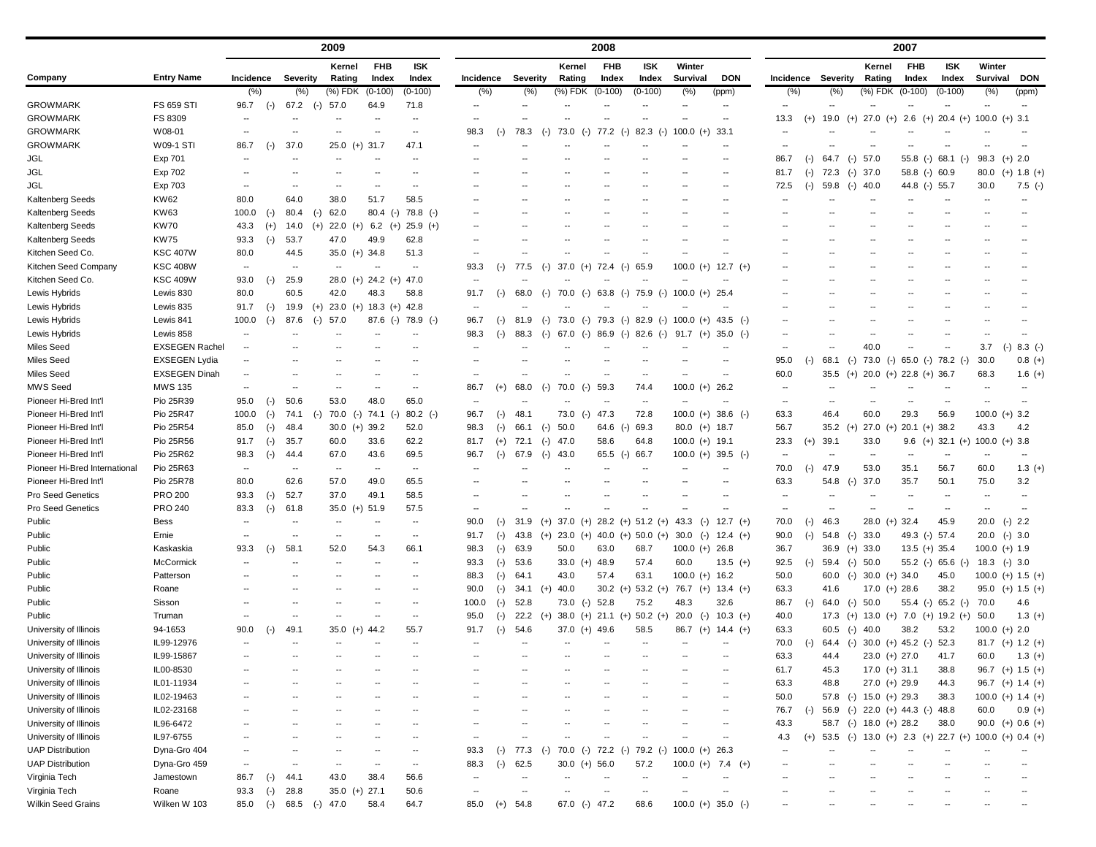|                               | <b>Entry Name</b>            | 2009                             |           |                 |       |                          |                          |                                  | 2008                     |       |                 |       |                     |            |       |               |                                                  |                          | 2007         |                          |       |                                 |               |                 |            |                                  |  |                          |                       |
|-------------------------------|------------------------------|----------------------------------|-----------|-----------------|-------|--------------------------|--------------------------|----------------------------------|--------------------------|-------|-----------------|-------|---------------------|------------|-------|---------------|--------------------------------------------------|--------------------------|--------------|--------------------------|-------|---------------------------------|---------------|-----------------|------------|----------------------------------|--|--------------------------|-----------------------|
| Company                       |                              |                                  |           |                 |       | Kernel                   | <b>FHB</b>               | <b>ISK</b>                       |                          |       |                 |       | Kernel              | <b>FHB</b> |       | <b>ISK</b>    | Winter                                           |                          |              |                          |       |                                 |               | Kernel          | <b>FHB</b> | <b>ISK</b>                       |  | Winter                   |                       |
|                               |                              | <b>Incidence</b>                 |           | <b>Severity</b> |       | Rating                   | Index                    | Index                            | Incidence                |       | <b>Severity</b> |       | Rating              | Index      |       | Index         | <b>Survival</b>                                  |                          | <b>DON</b>   | <b>Incidence</b>         |       | Severity                        |               | Rating          | Index      | Index                            |  | <b>Survival</b>          | DON                   |
| <b>GROWMARK</b>               |                              | (%)                              |           | $(\% )$         |       | $(%)$ FDK                | $(0-100)$                | $(0-100)$                        | (%)                      |       | $(\% )$         |       | (%) FDK             | $(0-100)$  |       | $(0-100)$     | (% )                                             | (ppm)                    |              | (% )                     |       | (%)                             |               | (%) FDK         | $(0-100)$  | $(0-100)$                        |  | (% )                     | (ppm)                 |
| <b>GROWMARK</b>               | <b>FS 659 STI</b><br>FS 8309 | 96.7<br>$\overline{\phantom{a}}$ | $(-)$     | 67.2            | $(-)$ | 57.0                     | 64.9                     | 71.8<br>$\overline{\phantom{a}}$ |                          |       |                 |       |                     |            |       |               | $\overline{\phantom{a}}$                         | $\overline{\phantom{a}}$ |              | 13.3                     |       | 19.0                            |               | 27.0<br>$(+)$   | 2.6        | $(+)$ 20.4 $(+)$ 100.0 $(+)$ 3.1 |  |                          |                       |
| <b>GROWMARK</b>               | W08-01                       |                                  |           |                 |       |                          |                          |                                  | 98.3                     |       | 78.3            |       | 73.0                | 77.2       |       | 82.3          | 100.0                                            | $(+)$<br>33.1            |              |                          | $(+)$ |                                 | $(+)$         |                 |            |                                  |  |                          |                       |
| <b>GROWMARK</b>               | <b>W09-1 STI</b>             | 86.7                             |           | 37.0            |       | $25.0$ (+) 31.7          |                          | 47.1                             | $\overline{\phantom{a}}$ | ( – ) |                 | $(-)$ | $(-)$               |            | $(-)$ | $(-)$         |                                                  |                          |              |                          |       |                                 |               |                 |            |                                  |  |                          |                       |
|                               |                              |                                  | $(-)$     |                 |       |                          |                          |                                  |                          |       |                 |       |                     |            |       |               |                                                  |                          |              |                          |       |                                 |               |                 |            |                                  |  |                          |                       |
| <b>JGL</b>                    | Exp 701                      | $\sim$ $\sim$                    |           |                 |       |                          |                          | $\sim$ $\sim$                    |                          |       |                 |       |                     |            |       |               |                                                  |                          |              | 86.7                     | $(-)$ | 64.7                            | 57.0<br>$(-)$ |                 | 55.8 (-)   | $68.1$ (-)                       |  | 98.3                     | $(+)$ 2.0             |
| <b>JGL</b><br><b>JGL</b>      | Exp 702                      | $\overline{\phantom{a}}$         |           |                 |       |                          |                          |                                  |                          |       |                 |       |                     |            |       |               |                                                  |                          |              | 81.7                     | $(-)$ | 72.3<br>59.8                    | $(-)$ 37.0    |                 |            | 58.8 (-) 60.9                    |  | 80.0                     | $(+)$ 1.8 $(+)$       |
| Kaltenberg Seeds              | Exp 703                      | 80.0                             |           | 64.0            |       | 38.0                     | 51.7                     | 58.5                             |                          |       |                 |       |                     |            |       |               |                                                  |                          |              | 72.5                     | $(-)$ |                                 | 40.0<br>$(-)$ |                 |            | 44.8 (-) 55.7                    |  | 30.0                     | $7.5$ (-)             |
|                               | KW62<br><b>KW63</b>          | 100.0                            |           | 80.4            |       | 62.0                     |                          | 80.4 (-) 78.8 (-)                |                          |       |                 |       |                     |            |       |               |                                                  |                          |              |                          |       |                                 |               |                 |            |                                  |  |                          |                       |
| Kaltenberg Seeds              |                              |                                  | $(-)$     |                 | $(-)$ |                          |                          |                                  |                          |       |                 |       |                     |            |       |               |                                                  |                          |              |                          |       |                                 |               |                 |            |                                  |  |                          |                       |
| Kaltenberg Seeds              | <b>KW70</b>                  | 43.3                             | $(+)$     | 14.0            | $(+)$ | $22.0 (+)$               | 6.2 $(+)$                | $25.9$ (+)                       |                          |       |                 |       |                     |            |       |               |                                                  |                          |              |                          |       |                                 |               |                 |            |                                  |  |                          |                       |
| Kaltenberg Seeds              | <b>KW75</b>                  | 93.3                             | $(-)$     | 53.7            |       | 47.0                     | 49.9                     | 62.8                             |                          |       |                 |       |                     |            |       |               |                                                  |                          |              |                          |       |                                 |               |                 |            |                                  |  |                          |                       |
| Kitchen Seed Co.              | <b>KSC 407W</b>              | 80.0                             |           | 44.5            |       | $35.0$ (+) $34.8$        |                          | 51.3                             |                          |       |                 |       |                     |            |       |               |                                                  |                          |              |                          |       |                                 |               |                 |            |                                  |  |                          |                       |
| Kitchen Seed Company          | <b>KSC 408W</b>              | $\sim$                           |           | $-$             |       | $\overline{\phantom{a}}$ |                          | $\sim$                           | 93.3                     | (-)   | 77.5            | $(-)$ | 37.0<br>$(+)$       | 72.4       | $(-)$ | 65.9          | 100.0                                            | $(+)$                    | $12.7$ (+)   |                          |       |                                 |               |                 |            |                                  |  |                          |                       |
| Kitchen Seed Co.              | <b>KSC 409W</b>              | 93.0                             | $(-)$     | 25.9            |       |                          | 28.0 (+) 24.2 (+) 47.0   |                                  | $\overline{\phantom{a}}$ |       |                 |       |                     |            |       |               |                                                  |                          |              |                          |       |                                 |               |                 |            |                                  |  |                          |                       |
| Lewis Hybrids                 | Lewis 830                    | 80.0                             |           | 60.5            |       | 42.0                     | 48.3                     | 58.8                             | 91.7                     |       | 68.0            | $(-)$ | 70.0<br>$(-)$       | 63.8       | $(-)$ | 75.9<br>$(-)$ | $100.0 (+)$                                      | 25.4                     |              |                          |       |                                 |               |                 |            |                                  |  |                          |                       |
| Lewis Hybrids                 | Lewis 835                    | 91.7                             | $(-)$     | 19.9            | $(+)$ |                          | $23.0$ (+) 18.3 (+) 42.8 |                                  | $\overline{\phantom{a}}$ |       |                 |       |                     |            |       |               |                                                  |                          |              |                          |       |                                 |               |                 |            |                                  |  |                          |                       |
| Lewis Hybrids                 | Lewis 841                    | 100.0                            | $(-)$     | 87.6            | $(-)$ | 57.0                     |                          | $87.6$ (-) $78.9$ (-)            | 96.7                     | $(-)$ | 81.9            | $(-)$ | 73.0 (-) 79.3 (-)   |            |       |               | 82.9 (-) 100.0 (+)                               |                          | 43.5 $(-)$   |                          |       |                                 |               |                 |            |                                  |  |                          |                       |
| Lewis Hybrids                 | Lewis 858                    | $\sim$                           |           |                 |       |                          |                          |                                  | 98.3                     | $(-)$ | 88.3            | $(-)$ | 67.0<br>$(-)$       | 86.9       | $(-)$ | 82.6<br>$(-)$ | $91.7$ (+)                                       |                          | $35.0$ (-)   |                          |       |                                 |               |                 |            |                                  |  |                          |                       |
| Miles Seed                    | <b>EXSEGEN Rachel</b>        | $\sim$                           |           |                 |       |                          |                          |                                  |                          |       |                 |       |                     |            |       |               |                                                  |                          |              | $\overline{\phantom{a}}$ |       |                                 |               | 40.0            |            |                                  |  | 3.7                      | $8.3$ (-)<br>$(-)$    |
| Miles Seed                    | <b>EXSEGEN Lydia</b>         | --                               |           |                 |       |                          |                          |                                  |                          |       |                 |       |                     |            |       |               |                                                  |                          |              | 95.0                     | $(-)$ | 68.1                            | $(-)$         | $73.0$ (-)      |            | 65.0 (-) 78.2 (-)                |  | 30.0                     | $0.8 (+)$             |
| <b>Miles Seed</b>             | <b>EXSEGEN Dinah</b>         |                                  |           |                 |       |                          |                          |                                  |                          |       |                 |       |                     |            |       |               |                                                  |                          |              | 60.0                     |       | 35.5 (+) 20.0 (+) 22.8 (+) 36.7 |               |                 |            |                                  |  | 68.3                     | $1.6 (+)$             |
| MWS Seed                      | <b>MWS 135</b>               | $\sim$                           |           |                 |       |                          |                          | $\sim$                           | 86.7                     | $(+)$ | 68.0            | $(-)$ | 70.0<br>$(-)$       | 59.3       |       | 74.4          | $100.0 (+) 26.2$                                 |                          |              |                          |       |                                 |               |                 |            |                                  |  |                          |                       |
| Pioneer Hi-Bred Int'l         | Pio 25R39                    | 95.0                             | $(-)$     | 50.6            |       | 53.0                     | 48.0                     | 65.0                             |                          |       |                 |       |                     |            |       | $\sim$        |                                                  |                          |              |                          |       |                                 |               |                 |            |                                  |  |                          |                       |
| Pioneer Hi-Bred Int'l         | Pio 25R47                    | 100.0                            | $(-)$     | 74.1            | $(-)$ | $70.0$ (-)               | 74.1<br>$(-)$            | $80.2$ (-)                       | 96.7                     | (-)   | 48.1            |       | $73.0$ (-)          | 47.3       |       | 72.8          | $100.0 (+) 38.6 (-)$                             |                          |              | 63.3                     |       | 46.4                            |               | 60.0            | 29.3       | 56.9                             |  |                          | $100.0 (+) 3.2$       |
| Pioneer Hi-Bred Int'l         | Pio 25R54                    | 85.0                             | $(-)$     | 48.4            |       | $30.0$ (+) 39.2          |                          | 52.0                             | 98.3                     |       | 66.1            | $(-)$ | 50.0                | 64.6       | $(-)$ | 69.3          | $80.0$ (+) 18.7                                  |                          |              | 56.7                     |       | $35.2$ (+)                      |               | $27.0 (+)$      |            | $20.1$ (+) 38.2                  |  | 43.3                     | 4.2                   |
| Pioneer Hi-Bred Int'l         | Pio 25R56                    | 91.7                             | $(-)$     | 35.7            |       | 60.0                     | 33.6                     | 62.2                             | 81.7                     | $(+)$ | 72.1            | $(-)$ | 47.0                | 58.6       |       | 64.8          | $100.0 (+) 19.1$                                 |                          |              | 23.3                     | $(+)$ | 39.1                            |               | 33.0            |            | $9.6$ (+) 32.1 (+)               |  |                          | $100.0 (+) 3.8$       |
| Pioneer Hi-Bred Int'l         | Pio 25R62                    | 98.3                             | $(-)$     | 44.4            |       | 67.0                     | 43.6                     | 69.5                             | 96.7                     |       | 67.9            | $(-)$ | 43.0                | 65.5       | $(-)$ | 66.7          | $100.0 (+) 39.5 (-)$                             |                          |              |                          |       |                                 |               | $\sim$          |            |                                  |  |                          |                       |
| Pioneer Hi-Bred International | Pio 25R63                    | $\sim$                           |           | --              |       | $\overline{\phantom{a}}$ | $\sim$                   | $\sim$                           |                          |       |                 |       |                     |            |       |               |                                                  |                          |              | 70.0                     | $(-)$ | 47.9                            |               | 53.0            | 35.1       | 56.7                             |  | 60.0                     | $1.3 (+)$             |
| Pioneer Hi-Bred Int'l         | Pio 25R78                    | 80.0                             |           | 62.6            |       | 57.0                     | 49.0                     | 65.5                             |                          |       |                 |       |                     |            |       |               |                                                  |                          |              | 63.3                     |       | 54.8                            | $(-)$         | 37.0            | 35.7       | 50.1                             |  | 75.0                     | 3.2                   |
| <b>Pro Seed Genetics</b>      | <b>PRO 200</b>               | 93.3                             | $(-)$     | 52.7            |       | 37.0                     | 49.1                     | 58.5                             |                          |       |                 |       |                     |            |       |               |                                                  |                          |              |                          |       |                                 |               |                 |            |                                  |  | $\overline{\phantom{a}}$ |                       |
| Pro Seed Genetics             | <b>PRO 240</b>               | 83.3                             | $(\cdot)$ | 61.8            |       | $35.0$ (+) $51.9$        |                          | 57.5                             |                          |       |                 |       |                     |            |       |               |                                                  |                          |              |                          |       |                                 |               |                 |            |                                  |  |                          |                       |
| Public                        | Bess                         |                                  |           |                 |       |                          |                          |                                  | 90.U                     | $(-)$ | 31.9            |       |                     |            |       |               | (+) 37.0 (+) 28.2 (+) 51.2 (+) 43.3 (-)          |                          | $12.7$ (+)   | 70.0                     | $(-)$ | 46.3                            |               | 28.0 (+)        | -32.4      | 45.9                             |  |                          | 20.0 (-) 2.2          |
| Public                        | Ernie                        | $\sim$                           |           |                 |       | --                       |                          | $\sim$                           | 91.7                     | $(-)$ | 43.8            |       |                     |            |       |               | (+) 23.0 (+) 40.0 (+) 50.0 (+) 30.0 (-) 12.4 (+) |                          |              | 90.0                     | $(-)$ | 54.8                            | 33.0<br>$(-)$ |                 |            | 49.3 (-) 57.4                    |  |                          | $20.0$ (-) 3.0        |
| Public                        | Kaskaskia                    | 93.3                             | $(-)$     | 58.1            |       | 52.0                     | 54.3                     | 66.1                             | 98.3                     | $(-)$ | 63.9            |       | 50.0                | 63.0       |       | 68.7          | $100.0 (+) 26.8$                                 |                          |              | 36.7                     |       | $36.9$ (+) $33.0$               |               |                 |            | $13.5 (+) 35.4$                  |  |                          | $100.0 (+) 1.9$       |
| Public                        | McCormick                    | $\overline{\phantom{a}}$         |           |                 |       | --                       |                          | $\overline{\phantom{a}}$         | 93.3                     | $(-)$ | 53.6            |       | 33.0 (+) $48.9$     |            |       | 57.4          | 60.0                                             |                          | $13.5$ (+)   | 92.5                     | $(-)$ | 59.4 (-) 50.0                   |               |                 |            | $55.2$ (-) 65.6 (-)              |  |                          | $18.3$ (-) 3.0        |
| Public                        | Patterson                    |                                  |           |                 |       |                          |                          |                                  | 88.3                     | $(-)$ | 64.1            |       | 43.0                | 57.4       |       | 63.1          | $100.0 (+) 16.2$                                 |                          |              | 50.0                     |       | 60.0 (-) 30.0 (+) 34.0          |               |                 |            | 45.0                             |  |                          | $100.0$ (+) $1.5$ (+) |
| Public                        | Roane                        | $\sim$                           |           |                 |       |                          |                          | $\sim$                           | 90.0                     | $(-)$ | 34.1            | $(+)$ | 40.0                | $30.2 (+)$ |       | $53.2 (+)$    | 76.7 (+) $13.4$ (+)                              |                          |              | 63.3                     |       | 41.6                            |               | $17.0$ (+) 28.6 |            | 38.2                             |  |                          | $95.0$ (+) $1.5$ (+)  |
| Public                        | Sisson                       | $\overline{\phantom{a}}$         |           |                 |       |                          |                          | $\overline{\phantom{a}}$         | 100.0                    |       | $(-)$ 52.8      |       | 73.0 (-) 52.8       |            |       | 75.2          | 48.3                                             | 32.6                     |              | 86.7                     | $(-)$ | 64.0                            | $(-)$ 50.0    |                 |            | $55.4$ (-) 65.2 (-)              |  | 70.0                     | 4.6                   |
| Public                        | Truman                       | $\sim$                           |           |                 |       | --                       |                          | $\overline{\phantom{a}}$         | 95.0                     |       | 22.2            | $(+)$ | $38.0$ (+) 21.1 (+) |            |       | $50.2 (+)$    | $20.0$ (-)                                       |                          | $10.3$ (+)   | 40.0                     |       | 17.3                            | $(+)$         |                 |            | 13.0 (+) 7.0 (+) 19.2 (+)        |  | 50.0                     | $1.3 (+)$             |
| University of Illinois        | 94-1653                      | 90.0                             | $(-)$     | 49.1            |       | 35.0 (+)                 | 44.2                     | 55.7                             | 91.7                     | $(-)$ | 54.6            |       | 37.0 $(+)$ 49.6     |            |       | 58.5          | 86.7 (+) 14.4 (+)                                |                          |              | 63.3                     |       | 60.5                            | $(-)$         | 40.0            | 38.2       | 53.2                             |  |                          | $100.0 (+) 2.0$       |
| University of Illinois        | IL99-12976                   | $\sim$                           |           |                 |       | --                       |                          | $\overline{\phantom{a}}$         | $\overline{\phantom{a}}$ |       |                 |       |                     |            |       | --            |                                                  |                          |              | 70.0                     | $(-)$ | 64.4 (-)                        |               |                 |            | $30.0$ (+) 45.2 (-) 52.3         |  |                          | $81.7$ (+) $1.2$ (+)  |
| University of Illinois        | IL99-15867                   | $\sim$                           |           |                 |       |                          |                          |                                  | $\overline{\phantom{m}}$ |       | $\sim$          |       |                     |            |       | --            |                                                  | --                       |              | 63.3                     |       | 44.4                            |               | $23.0 (+) 27.0$ |            | 41.7                             |  | 60.0                     | $1.3 (+)$             |
| University of Illinois        | IL00-8530                    | $\sim$                           |           |                 |       |                          |                          |                                  | $\overline{\phantom{a}}$ |       | $\sim$          |       |                     |            |       |               |                                                  | $\overline{\phantom{a}}$ |              | 61.7                     |       | 45.3                            |               | $17.0 (+) 31.1$ |            | 38.8                             |  |                          | 96.7 (+) $1.5$ (+)    |
| University of Illinois        | IL01-11934                   | $\sim$                           |           |                 |       | --                       |                          | $\overline{\phantom{a}}$         | $\overline{\phantom{a}}$ |       | $\sim$          |       | --                  |            |       |               | --                                               |                          | $\mathbf{u}$ | 63.3                     |       | 48.8                            |               | $27.0 (+) 29.9$ |            | 44.3                             |  |                          | 96.7 (+) $1.4$ (+)    |
| University of Illinois        | IL02-19463                   | $\overline{\phantom{a}}$         |           |                 |       |                          |                          |                                  |                          |       |                 |       |                     |            |       |               |                                                  | $\overline{\phantom{a}}$ |              | 50.0                     |       | 57.8 (-) 15.0 (+) 29.3          |               |                 |            | 38.3                             |  |                          | 100.0 (+) 1.4 (+)     |
| University of Illinois        | IL02-23168                   | $\overline{\phantom{a}}$         |           |                 |       |                          |                          |                                  |                          |       |                 |       |                     |            |       |               |                                                  | $\overline{\phantom{a}}$ |              | 76.7                     | $(-)$ | 56.9                            |               |                 |            | $(-)$ 22.0 $(+)$ 44.3 $(-)$ 48.8 |  | 60.0                     | $0.9 (+)$             |
| University of Illinois        | IL96-6472                    | --                               |           |                 |       |                          |                          |                                  |                          |       |                 |       |                     |            |       |               |                                                  | $\overline{\phantom{a}}$ |              | 43.3                     |       | 58.7 (-) 18.0 (+) 28.2          |               |                 |            | 38.0                             |  |                          | 90.0 (+) 0.6 (+)      |
| University of Illinois        | IL97-6755                    | --                               |           |                 |       | --                       |                          | $\sim$                           | $\overline{\phantom{a}}$ |       |                 |       |                     |            |       |               | --                                               | --                       |              | 4.3                      | $(+)$ | 53.5                            | $(-)$         |                 |            | $13.0$ (+) $2.3$ (+) $22.7$ (+)  |  |                          | $100.0 (+) 0.4 (+)$   |
| <b>UAP Distribution</b>       | Dyna-Gro 404                 | $\overline{\phantom{a}}$         |           |                 |       |                          |                          | $\overline{\phantom{a}}$         | 93.3                     |       | $(-)$ 77.3      | $(-)$ | 70.0 (-) 72.2 (-)   |            |       | 79.2<br>$(-)$ | $100.0 (+)$                                      | 26.3                     |              |                          |       |                                 |               |                 |            |                                  |  |                          |                       |
| <b>UAP Distribution</b>       | Dyna-Gro 459                 | $\sim$                           |           | --              |       | --                       | $\overline{\phantom{a}}$ | $\sim$                           | 88.3                     | $(-)$ | 62.5            |       | $30.0 (+) 56.0$     |            |       | 57.2          | $100.0 (+)$                                      |                          | 7.4 $(+)$    |                          |       |                                 |               |                 |            |                                  |  |                          |                       |
| Virginia Tech                 | Jamestown                    | 86.7                             | $(-)$     | 44.1            |       | 43.0                     | 38.4                     | 56.6                             |                          |       | $\sim$          |       |                     |            |       |               |                                                  |                          |              |                          |       |                                 |               |                 |            |                                  |  |                          |                       |
| Virginia Tech                 | Roane                        | 93.3                             | $(-)$     | 28.8            |       | $35.0 (+) 27.1$          |                          | 50.6                             |                          |       | $\sim$          |       |                     |            |       |               |                                                  |                          |              |                          |       |                                 |               |                 |            |                                  |  |                          |                       |
| <b>Wilkin Seed Grains</b>     | Wilken W 103                 | 85.0                             | $(-)$     | 68.5            | $(-)$ | 47.0                     | 58.4                     | 64.7                             | 85.0                     | $(+)$ | 54.8            |       | 67.0 (-) 47.2       |            |       | 68.6          | $100.0 (+) 35.0 (-)$                             |                          |              | --                       |       |                                 |               |                 |            |                                  |  | $\overline{\phantom{m}}$ |                       |